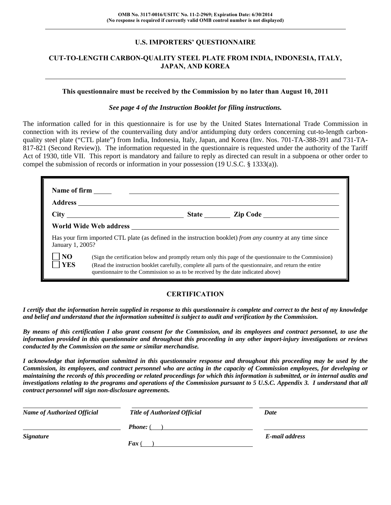#### **U.S. IMPORTERS' QUESTIONNAIRE**

#### **CUT-TO-LENGTH CARBON-QUALITY STEEL PLATE FROM INDIA, INDONESIA, ITALY, JAPAN, AND KOREA**

#### **This questionnaire must be received by the Commission by no later than August 10, 2011**

#### *See page 4 of the Instruction Booklet for filing instructions.*

The information called for in this questionnaire is for use by the United States International Trade Commission in connection with its review of the countervailing duty and/or antidumping duty orders concerning cut-to-length carbonquality steel plate ("CTL plate") from India, Indonesia, Italy, Japan, and Korea (Inv. Nos. 701-TA-388-391 and 731-TA-817-821 (Second Review)). The information requested in the questionnaire is requested under the authority of the Tariff Act of 1930, title VII. This report is mandatory and failure to reply as directed can result in a subpoena or other order to compel the submission of records or information in your possession (19 U.S.C. § 1333(a)).

| January 1, 2005?             |                                                                                                                                                                                                                                                                                                          |  | Has your firm imported CTL plate (as defined in the instruction booklet) from any country at any time since |  |  |  |
|------------------------------|----------------------------------------------------------------------------------------------------------------------------------------------------------------------------------------------------------------------------------------------------------------------------------------------------------|--|-------------------------------------------------------------------------------------------------------------|--|--|--|
| N <sub>O</sub><br><b>YES</b> | (Sign the certification below and promptly return only this page of the questionnaire to the Commission)<br>(Read the instruction booklet carefully, complete all parts of the questionnaire, and return the entire<br>questionnaire to the Commission so as to be received by the date indicated above) |  |                                                                                                             |  |  |  |

#### **CERTIFICATION**

*I certify that the information herein supplied in response to this questionnaire is complete and correct to the best of my knowledge and belief and understand that the information submitted is subject to audit and verification by the Commission.* 

*By means of this certification I also grant consent for the Commission, and its employees and contract personnel, to use the information provided in this questionnaire and throughout this proceeding in any other import-injury investigations or reviews conducted by the Commission on the same or similar merchandise.* 

*I acknowledge that information submitted in this questionnaire response and throughout this proceeding may be used by the Commission, its employees, and contract personnel who are acting in the capacity of Commission employees, for developing or maintaining the records of this proceeding or related proceedings for which this information is submitted, or in internal audits and investigations relating to the programs and operations of the Commission pursuant to 5 U.S.C. Appendix 3. I understand that all contract personnel will sign non-disclosure agreements.* 

| <b>Name of Authorized Official</b> | <b>Title of Authorized Official</b> | Date           |  |
|------------------------------------|-------------------------------------|----------------|--|
|                                    | <b>Phone:</b> (                     |                |  |
| <b>Signature</b>                   |                                     | E-mail address |  |
|                                    | $\boldsymbol{F}$ ax (               |                |  |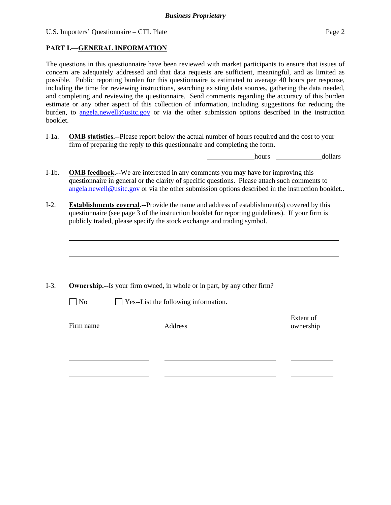#### **PART I.—GENERAL INFORMATION**

The questions in this questionnaire have been reviewed with market participants to ensure that issues of concern are adequately addressed and that data requests are sufficient, meaningful, and as limited as possible. Public reporting burden for this questionnaire is estimated to average 40 hours per response, including the time for reviewing instructions, searching existing data sources, gathering the data needed, and completing and reviewing the questionnaire. Send comments regarding the accuracy of this burden estimate or any other aspect of this collection of information, including suggestions for reducing the burden, to angela.newell@usitc.gov or via the other submission options described in the instruction booklet.

I-1a. **OMB statistics.--**Please report below the actual number of hours required and the cost to your firm of preparing the reply to this questionnaire and completing the form.

hours dollars

- I-1b. **OMB feedback.--**We are interested in any comments you may have for improving this questionnaire in general or the clarity of specific questions. Please attach such comments to angela.newell@usitc.gov or via the other submission options described in the instruction booklet..
- I-2. **Establishments covered.--**Provide the name and address of establishment(s) covered by this questionnaire (see page 3 of the instruction booklet for reporting guidelines). If your firm is publicly traded, please specify the stock exchange and trading symbol.

|                | <b>Ownership.</b> --Is your firm owned, in whole or in part, by any other firm? |                        |
|----------------|---------------------------------------------------------------------------------|------------------------|
| N <sub>0</sub> | $\Box$ Yes--List the following information.                                     |                        |
| Firm name      | Address                                                                         | Extent of<br>ownership |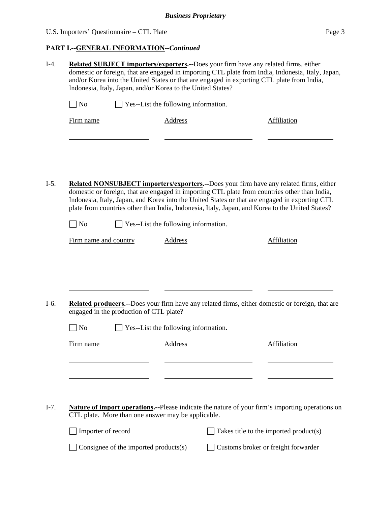## **PART I.--GENERAL INFORMATION***--Continued*

| $\Box$ No             |                                         | $\Box$ Yes--List the following information.        |                                                                                                                                                                                                                                                                                                                                                                                              |
|-----------------------|-----------------------------------------|----------------------------------------------------|----------------------------------------------------------------------------------------------------------------------------------------------------------------------------------------------------------------------------------------------------------------------------------------------------------------------------------------------------------------------------------------------|
| Firm name             |                                         | <b>Address</b>                                     | Affiliation                                                                                                                                                                                                                                                                                                                                                                                  |
|                       |                                         |                                                    |                                                                                                                                                                                                                                                                                                                                                                                              |
|                       |                                         |                                                    |                                                                                                                                                                                                                                                                                                                                                                                              |
|                       |                                         |                                                    |                                                                                                                                                                                                                                                                                                                                                                                              |
|                       |                                         |                                                    | Related NONSUBJECT importers/exporters.--Does your firm have any related firms, either<br>domestic or foreign, that are engaged in importing CTL plate from countries other than India,<br>Indonesia, Italy, Japan, and Korea into the United States or that are engaged in exporting CTL<br>plate from countries other than India, Indonesia, Italy, Japan, and Korea to the United States? |
| $ $ No                |                                         | Yes--List the following information.               |                                                                                                                                                                                                                                                                                                                                                                                              |
| Firm name and country |                                         | Address                                            | Affiliation                                                                                                                                                                                                                                                                                                                                                                                  |
|                       |                                         |                                                    |                                                                                                                                                                                                                                                                                                                                                                                              |
|                       |                                         |                                                    |                                                                                                                                                                                                                                                                                                                                                                                              |
| No                    | engaged in the production of CTL plate? | Yes--List the following information.               |                                                                                                                                                                                                                                                                                                                                                                                              |
| Firm name             |                                         | <b>Address</b>                                     | Affiliation                                                                                                                                                                                                                                                                                                                                                                                  |
|                       |                                         |                                                    | Related producers.--Does your firm have any related firms, either domestic or foreign, that are                                                                                                                                                                                                                                                                                              |
|                       |                                         |                                                    |                                                                                                                                                                                                                                                                                                                                                                                              |
|                       |                                         |                                                    |                                                                                                                                                                                                                                                                                                                                                                                              |
|                       |                                         | CTL plate. More than one answer may be applicable. | <b>Nature of import operations.</b> --Please indicate the nature of your firm's importing operations on                                                                                                                                                                                                                                                                                      |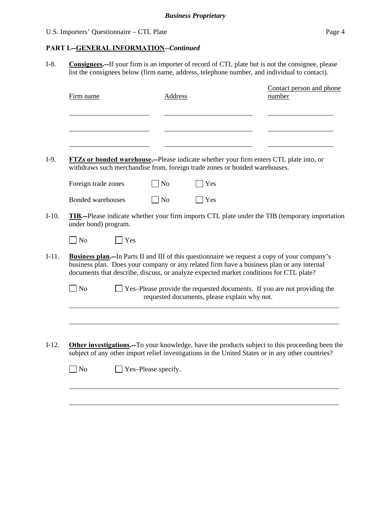### **PART I.--GENERAL INFORMATION***--Continued*

I-8. **Consignees.--**If your firm is an importer of record of CTL plate but is not the consignee, please list the consignees below (firm name, address, telephone number, and individual to contact).

| Firm name                |     | <b>Address</b> |                                                                            | Contact person and phone<br>number                                                                                                                                                                                                                                                           |
|--------------------------|-----|----------------|----------------------------------------------------------------------------|----------------------------------------------------------------------------------------------------------------------------------------------------------------------------------------------------------------------------------------------------------------------------------------------|
|                          |     |                |                                                                            |                                                                                                                                                                                                                                                                                              |
|                          |     |                |                                                                            |                                                                                                                                                                                                                                                                                              |
|                          |     |                |                                                                            |                                                                                                                                                                                                                                                                                              |
|                          |     |                |                                                                            | FTZs or bonded warehouse.--Please indicate whether your firm enters CTL plate into, or                                                                                                                                                                                                       |
|                          |     |                | withdraws such merchandise from, foreign trade zones or bonded warehouses. |                                                                                                                                                                                                                                                                                              |
| Foreign trade zones      |     | N <sub>o</sub> | Yes                                                                        |                                                                                                                                                                                                                                                                                              |
| <b>Bonded warehouses</b> |     | <b>No</b>      | Yes                                                                        |                                                                                                                                                                                                                                                                                              |
| under bond) program.     |     |                |                                                                            | <b>TIB.</b> --Please indicate whether your firm imports CTL plate under the TIB (temporary importation                                                                                                                                                                                       |
| $\log$                   | Yes |                |                                                                            |                                                                                                                                                                                                                                                                                              |
|                          |     |                |                                                                            | <b>Business plan.</b> --In Parts II and III of this questionnaire we request a copy of your company's<br>business plan. Does your company or any related firm have a business plan or any internal<br>documents that describe, discuss, or analyze expected market conditions for CTL plate? |
| $\blacksquare$ No        |     |                | requested documents, please explain why not.                               | Yes-Please provide the requested documents. If you are not providing the                                                                                                                                                                                                                     |
|                          |     |                |                                                                            |                                                                                                                                                                                                                                                                                              |
|                          |     |                |                                                                            |                                                                                                                                                                                                                                                                                              |
|                          |     |                |                                                                            |                                                                                                                                                                                                                                                                                              |
|                          |     |                |                                                                            | Other investigations.--To your knowledge, have the products subject to this proceeding been the<br>subject of any other import relief investigations in the United States or in any other countries?                                                                                         |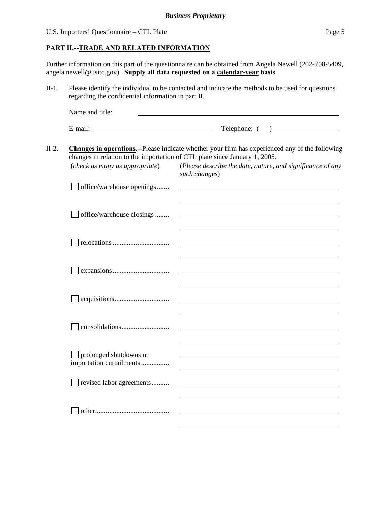#### **PART II.--TRADE AND RELATED INFORMATION**

Further information on this part of the questionnaire can be obtained from Angela Newell (202-708-5409, angela.newell@usitc.gov). **Supply all data requested on a calendar-year basis**.

II-1. Please identify the individual to be contacted and indicate the methods to be used for questions regarding the confidential information in part II.

| Name and title: |              |
|-----------------|--------------|
| E-mail:         | Telephone: ( |

II-2. **Changes in operations.--**Please indicate whether your firm has experienced any of the following changes in relation to the importation of CTL plate since January 1, 2005. (*check as many as appropriate*) (*Please describe the date, nature, and significance of any* 

 $\fbox{ \f{of} free/warehouse opening} $.... \quad \quad \fbox{ \f{and} } \quad \quad \fbox{ \f{and} } \quad \quad \fbox{ \f{and} } \quad \quad \fbox{ \f{and} } \quad \quad \fbox{ \f{and} } \quad \quad \fbox{ \f{and} } \quad \quad \fbox{ \f{and} } \quad \quad \fbox{ \f{and} } \quad \quad \fbox{ \f{and} } \quad \quad \fbox{ \f{and} } \quad \quad \fbox{ \f{and} } \quad \quad \fbox{ \f{and} } \quad \quad \fbox{ \f{and} } \quad \quad \fbox{ \f{and} } \quad \quad \fbox{$ 

|               |  |  | (Please describe the date, nature, and significance of any |  |
|---------------|--|--|------------------------------------------------------------|--|
| such changes) |  |  |                                                            |  |

| office/warehouse closings                                 |  |
|-----------------------------------------------------------|--|
|                                                           |  |
|                                                           |  |
|                                                           |  |
|                                                           |  |
|                                                           |  |
| $\Box$ prolonged shutdowns or<br>importation curtailments |  |
| revised labor agreements                                  |  |
|                                                           |  |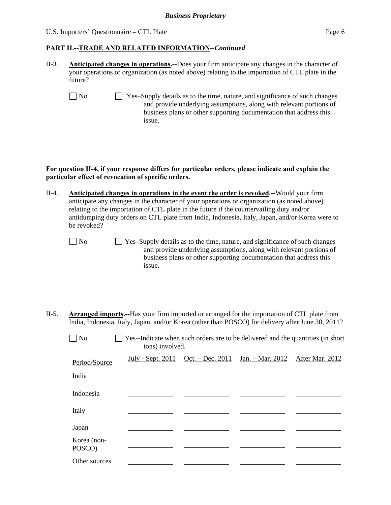U.S. Importers' Questionnaire – CTL Plate Page 6

l

l

#### **PART II.--TRADE AND RELATED INFORMATION***--Continued*

- II-3. **Anticipated changes in operations.--**Does your firm anticipate any changes in the character of your operations or organization (as noted above) relating to the importation of CTL plate in the future?
	- $\Box$  No  $\Box$  Yes–Supply details as to the time, nature, and significance of such changes and provide underlying assumptions, along with relevant portions of business plans or other supporting documentation that address this issue.

#### **For question II-4, if your response differs for particular orders, please indicate and explain the particular effect of revocation of specific orders.**

- II-4. **Anticipated changes in operations in the event the order is revoked.--**Would your firm anticipate any changes in the character of your operations or organization (as noted above) relating to the importation of CTL plate in the future if the countervailing duty and/or antidumping duty orders on CTL plate from India, Indonesia, Italy, Japan, and/or Korea were to be revoked?
	-
	- No Yes–Supply details as to the time, nature, and significance of such changes and provide underlying assumptions, along with relevant portions of business plans or other supporting documentation that address this issue.
- II-5. **Arranged imports.--**Has your firm imported or arranged for the importation of CTL plate from India, Indonesia, Italy, Japan, and/or Korea (other than POSCO) for delivery after June 30, 2011?

| N <sub>o</sub>        | Yes--Indicate when such orders are to be delivered and the quantities (in short<br>tons) involved. |                                                                             |  |
|-----------------------|----------------------------------------------------------------------------------------------------|-----------------------------------------------------------------------------|--|
| Period/Source         |                                                                                                    | <u> July - Sept. 2011 Oct. – Dec. 2011 Jan. – Mar. 2012 After Mar. 2012</u> |  |
| India                 |                                                                                                    |                                                                             |  |
| Indonesia             |                                                                                                    |                                                                             |  |
| Italy                 |                                                                                                    |                                                                             |  |
| Japan                 |                                                                                                    |                                                                             |  |
| Korea (non-<br>POSCO) |                                                                                                    |                                                                             |  |
| Other sources         |                                                                                                    |                                                                             |  |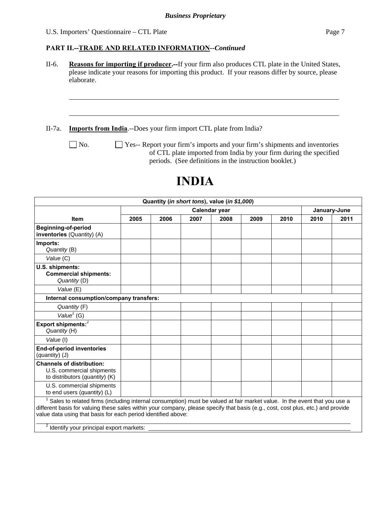l

#### **PART II.--TRADE AND RELATED INFORMATION***--Continued*

II-6. **Reasons for importing if producer.--**If your firm also produces CTL plate in the United States, please indicate your reasons for importing this product. If your reasons differ by source, please elaborate.

II-7a. **Imports from India**.--Does your firm import CTL plate from India?

No.  $\Box$  Yes-- Report your firm's imports and your firm's shipments and inventories of CTL plate imported from India by your firm during the specified periods. (See definitions in the instruction booklet.)

# **INDIA**

| Quantity (in short tons), value (in \$1,000)                                                    |                                                                                                                                                                                                                                                                                                                                            |      |      |      |      |      |      |              |  |
|-------------------------------------------------------------------------------------------------|--------------------------------------------------------------------------------------------------------------------------------------------------------------------------------------------------------------------------------------------------------------------------------------------------------------------------------------------|------|------|------|------|------|------|--------------|--|
|                                                                                                 | Calendar year                                                                                                                                                                                                                                                                                                                              |      |      |      |      |      |      | January-June |  |
| <b>Item</b>                                                                                     | 2005                                                                                                                                                                                                                                                                                                                                       | 2006 | 2007 | 2008 | 2009 | 2010 | 2010 | 2011         |  |
| <b>Beginning-of-period</b><br>inventories (Quantity) (A)                                        |                                                                                                                                                                                                                                                                                                                                            |      |      |      |      |      |      |              |  |
| Imports:<br>Quantity (B)                                                                        |                                                                                                                                                                                                                                                                                                                                            |      |      |      |      |      |      |              |  |
| Value (C)                                                                                       |                                                                                                                                                                                                                                                                                                                                            |      |      |      |      |      |      |              |  |
| U.S. shipments:<br><b>Commercial shipments:</b><br>Quantity (D)                                 |                                                                                                                                                                                                                                                                                                                                            |      |      |      |      |      |      |              |  |
| Value (E)                                                                                       |                                                                                                                                                                                                                                                                                                                                            |      |      |      |      |      |      |              |  |
| Internal consumption/company transfers:                                                         |                                                                                                                                                                                                                                                                                                                                            |      |      |      |      |      |      |              |  |
| Quantity (F)                                                                                    |                                                                                                                                                                                                                                                                                                                                            |      |      |      |      |      |      |              |  |
| Value $1$ (G)                                                                                   |                                                                                                                                                                                                                                                                                                                                            |      |      |      |      |      |      |              |  |
| Export shipments: <sup>2</sup><br>Quantity (H)                                                  |                                                                                                                                                                                                                                                                                                                                            |      |      |      |      |      |      |              |  |
| Value (I)                                                                                       |                                                                                                                                                                                                                                                                                                                                            |      |      |      |      |      |      |              |  |
| <b>End-of-period inventories</b><br>(quantity) (J)                                              |                                                                                                                                                                                                                                                                                                                                            |      |      |      |      |      |      |              |  |
| <b>Channels of distribution:</b><br>U.S. commercial shipments<br>to distributors (quantity) (K) |                                                                                                                                                                                                                                                                                                                                            |      |      |      |      |      |      |              |  |
| U.S. commercial shipments<br>to end users (quantity) (L)                                        |                                                                                                                                                                                                                                                                                                                                            |      |      |      |      |      |      |              |  |
|                                                                                                 | <sup>1</sup> Sales to related firms (including internal consumption) must be valued at fair market value. In the event that you use a<br>different basis for valuing these sales within your company, please specify that basis (e.g., cost, cost plus, etc.) and provide<br>value data using that basis for each period identified above: |      |      |      |      |      |      |              |  |
| <sup>2</sup> Identify your principal export markets:                                            |                                                                                                                                                                                                                                                                                                                                            |      |      |      |      |      |      |              |  |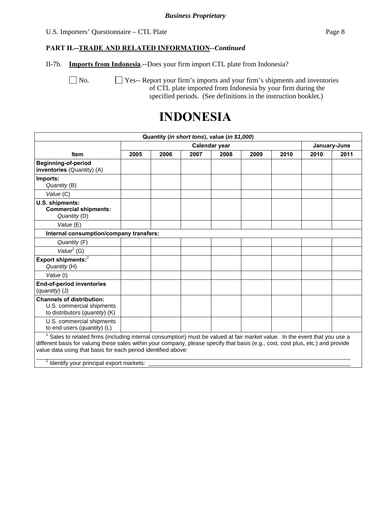#### U.S. Importers' Questionnaire – CTL Plate Page 8

#### **PART II.--TRADE AND RELATED INFORMATION***--Continued*

II-7b. **Imports from Indonesia**.--Does your firm import CTL plate from Indonesia?

No.  $\Box$  Yes-- Report your firm's imports and your firm's shipments and inventories of CTL plate imported from Indonesia by your firm during the specified periods. (See definitions in the instruction booklet.)

## **INDONESIA**

|                                                                                                                                                                                                                                                                                                                                                                                       |               |      |      | Quantity (in short tons), value (in \$1,000) |      |      |      |              |
|---------------------------------------------------------------------------------------------------------------------------------------------------------------------------------------------------------------------------------------------------------------------------------------------------------------------------------------------------------------------------------------|---------------|------|------|----------------------------------------------|------|------|------|--------------|
|                                                                                                                                                                                                                                                                                                                                                                                       | Calendar year |      |      |                                              |      |      |      | January-June |
| <b>Item</b>                                                                                                                                                                                                                                                                                                                                                                           | 2005          | 2006 | 2007 | 2008                                         | 2009 | 2010 | 2010 | 2011         |
| <b>Beginning-of-period</b><br>inventories (Quantity) (A)                                                                                                                                                                                                                                                                                                                              |               |      |      |                                              |      |      |      |              |
| Imports:<br>Quantity (B)                                                                                                                                                                                                                                                                                                                                                              |               |      |      |                                              |      |      |      |              |
| Value (C)                                                                                                                                                                                                                                                                                                                                                                             |               |      |      |                                              |      |      |      |              |
| U.S. shipments:<br><b>Commercial shipments:</b><br>Quantity (D)                                                                                                                                                                                                                                                                                                                       |               |      |      |                                              |      |      |      |              |
| Value (E)                                                                                                                                                                                                                                                                                                                                                                             |               |      |      |                                              |      |      |      |              |
| Internal consumption/company transfers:                                                                                                                                                                                                                                                                                                                                               |               |      |      |                                              |      |      |      |              |
| Quantity (F)                                                                                                                                                                                                                                                                                                                                                                          |               |      |      |                                              |      |      |      |              |
| Value $1$ (G)                                                                                                                                                                                                                                                                                                                                                                         |               |      |      |                                              |      |      |      |              |
| Export shipments: <sup>2</sup><br>Quantity (H)                                                                                                                                                                                                                                                                                                                                        |               |      |      |                                              |      |      |      |              |
| Value (I)                                                                                                                                                                                                                                                                                                                                                                             |               |      |      |                                              |      |      |      |              |
| <b>End-of-period inventories</b><br>(quantity) (J)                                                                                                                                                                                                                                                                                                                                    |               |      |      |                                              |      |      |      |              |
| <b>Channels of distribution:</b><br>U.S. commercial shipments<br>to distributors (quantity) (K)                                                                                                                                                                                                                                                                                       |               |      |      |                                              |      |      |      |              |
| U.S. commercial shipments<br>to end users (quantity) (L)                                                                                                                                                                                                                                                                                                                              |               |      |      |                                              |      |      |      |              |
| Sales to related firms (including internal consumption) must be valued at fair market value. In the event that you use a<br>different basis for valuing these sales within your company, please specify that basis (e.g., cost, cost plus, etc.) and provide<br>value data using that basis for each period identified above:<br><sup>2</sup> Identify your principal export markets: |               |      |      |                                              |      |      |      |              |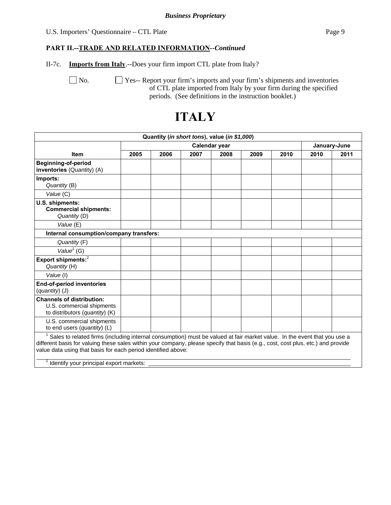#### U.S. Importers' Questionnaire – CTL Plate Page 9

#### **PART II.--TRADE AND RELATED INFORMATION***--Continued*

II-7c. **Imports from Italy**.--Does your firm import CTL plate from Italy?

 No. Yes-- Report your firm's imports and your firm's shipments and inventories of CTL plate imported from Italy by your firm during the specified periods. (See definitions in the instruction booklet.)

# **ITALY**

|                                                                                                                                                                                                                                                                                                                                                                                       |               |      |      | Quantity (in short tons), value (in \$1,000) |      |      |      |              |
|---------------------------------------------------------------------------------------------------------------------------------------------------------------------------------------------------------------------------------------------------------------------------------------------------------------------------------------------------------------------------------------|---------------|------|------|----------------------------------------------|------|------|------|--------------|
|                                                                                                                                                                                                                                                                                                                                                                                       | Calendar year |      |      |                                              |      |      |      | January-June |
| <b>Item</b>                                                                                                                                                                                                                                                                                                                                                                           | 2005          | 2006 | 2007 | 2008                                         | 2009 | 2010 | 2010 | 2011         |
| <b>Beginning-of-period</b><br>inventories (Quantity) (A)                                                                                                                                                                                                                                                                                                                              |               |      |      |                                              |      |      |      |              |
| Imports:<br>Quantity (B)                                                                                                                                                                                                                                                                                                                                                              |               |      |      |                                              |      |      |      |              |
| Value (C)                                                                                                                                                                                                                                                                                                                                                                             |               |      |      |                                              |      |      |      |              |
| U.S. shipments:<br><b>Commercial shipments:</b><br>Quantity (D)                                                                                                                                                                                                                                                                                                                       |               |      |      |                                              |      |      |      |              |
| Value (E)                                                                                                                                                                                                                                                                                                                                                                             |               |      |      |                                              |      |      |      |              |
| Internal consumption/company transfers:                                                                                                                                                                                                                                                                                                                                               |               |      |      |                                              |      |      |      |              |
| Quantity (F)                                                                                                                                                                                                                                                                                                                                                                          |               |      |      |                                              |      |      |      |              |
| Value <sup><math>1</math></sup> (G)                                                                                                                                                                                                                                                                                                                                                   |               |      |      |                                              |      |      |      |              |
| Export shipments: <sup>2</sup><br>Quantity (H)                                                                                                                                                                                                                                                                                                                                        |               |      |      |                                              |      |      |      |              |
| Value (I)                                                                                                                                                                                                                                                                                                                                                                             |               |      |      |                                              |      |      |      |              |
| End-of-period inventories<br>(quantity) (J)                                                                                                                                                                                                                                                                                                                                           |               |      |      |                                              |      |      |      |              |
| <b>Channels of distribution:</b><br>U.S. commercial shipments<br>to distributors (quantity) (K)                                                                                                                                                                                                                                                                                       |               |      |      |                                              |      |      |      |              |
| U.S. commercial shipments<br>to end users (quantity) (L)                                                                                                                                                                                                                                                                                                                              |               |      |      |                                              |      |      |      |              |
| Sales to related firms (including internal consumption) must be valued at fair market value. In the event that you use a<br>different basis for valuing these sales within your company, please specify that basis (e.g., cost, cost plus, etc.) and provide<br>value data using that basis for each period identified above:<br><sup>2</sup> Identify your principal export markets: |               |      |      |                                              |      |      |      |              |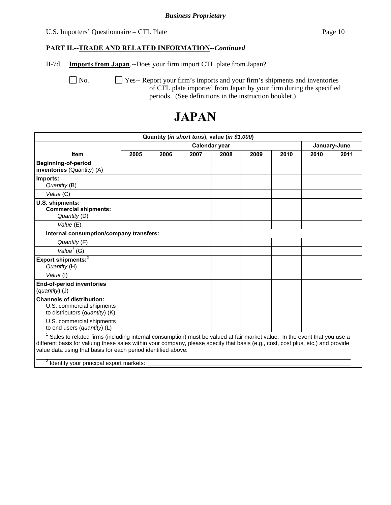#### U.S. Importers' Questionnaire – CTL Plate Page 10

#### **PART II.--TRADE AND RELATED INFORMATION***--Continued*

II-7d. **Imports from Japan**.--Does your firm import CTL plate from Japan?

No.  $\Box$  Yes-- Report your firm's imports and your firm's shipments and inventories of CTL plate imported from Japan by your firm during the specified periods. (See definitions in the instruction booklet.)

# **JAPAN**

|                                                                                                                                                                                                                                                                                                                                                                                       |      |      |      | Quantity (in short tons), value (in \$1,000) |      |      |      |              |
|---------------------------------------------------------------------------------------------------------------------------------------------------------------------------------------------------------------------------------------------------------------------------------------------------------------------------------------------------------------------------------------|------|------|------|----------------------------------------------|------|------|------|--------------|
|                                                                                                                                                                                                                                                                                                                                                                                       |      |      |      | Calendar year                                |      |      |      | January-June |
| <b>Item</b>                                                                                                                                                                                                                                                                                                                                                                           | 2005 | 2006 | 2007 | 2008                                         | 2009 | 2010 | 2010 | 2011         |
| <b>Beginning-of-period</b><br>inventories (Quantity) (A)                                                                                                                                                                                                                                                                                                                              |      |      |      |                                              |      |      |      |              |
| Imports:<br>Quantity (B)                                                                                                                                                                                                                                                                                                                                                              |      |      |      |                                              |      |      |      |              |
| Value (C)                                                                                                                                                                                                                                                                                                                                                                             |      |      |      |                                              |      |      |      |              |
| U.S. shipments:<br><b>Commercial shipments:</b><br>Quantity (D)                                                                                                                                                                                                                                                                                                                       |      |      |      |                                              |      |      |      |              |
| Value (E)                                                                                                                                                                                                                                                                                                                                                                             |      |      |      |                                              |      |      |      |              |
| Internal consumption/company transfers:                                                                                                                                                                                                                                                                                                                                               |      |      |      |                                              |      |      |      |              |
| Quantity (F)                                                                                                                                                                                                                                                                                                                                                                          |      |      |      |                                              |      |      |      |              |
| Value <sup><math>1</math></sup> (G)                                                                                                                                                                                                                                                                                                                                                   |      |      |      |                                              |      |      |      |              |
| Export shipments: <sup>2</sup><br>Quantity (H)                                                                                                                                                                                                                                                                                                                                        |      |      |      |                                              |      |      |      |              |
| Value (I)                                                                                                                                                                                                                                                                                                                                                                             |      |      |      |                                              |      |      |      |              |
| <b>End-of-period inventories</b><br>(quantity) (J)                                                                                                                                                                                                                                                                                                                                    |      |      |      |                                              |      |      |      |              |
| <b>Channels of distribution:</b><br>U.S. commercial shipments<br>to distributors (quantity) (K)                                                                                                                                                                                                                                                                                       |      |      |      |                                              |      |      |      |              |
| U.S. commercial shipments<br>to end users (quantity) (L)                                                                                                                                                                                                                                                                                                                              |      |      |      |                                              |      |      |      |              |
| Sales to related firms (including internal consumption) must be valued at fair market value. In the event that you use a<br>different basis for valuing these sales within your company, please specify that basis (e.g., cost, cost plus, etc.) and provide<br>value data using that basis for each period identified above:<br><sup>2</sup> Identify your principal export markets: |      |      |      |                                              |      |      |      |              |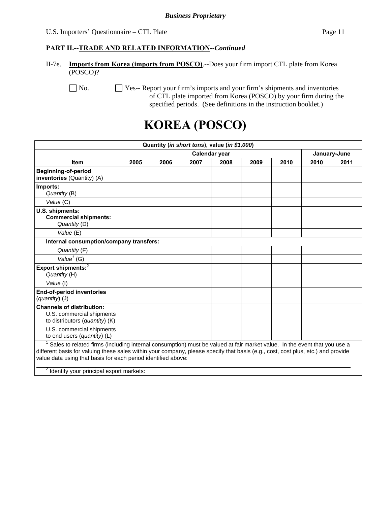#### **PART II.--TRADE AND RELATED INFORMATION***--Continued*

II-7e. **Imports from Korea (imports from POSCO)**.--Does your firm import CTL plate from Korea (POSCO)?

No.  $\Box$  Yes-- Report your firm's imports and your firm's shipments and inventories of CTL plate imported from Korea (POSCO) by your firm during the specified periods. (See definitions in the instruction booklet.)

# **KOREA (POSCO)**

|                                                                                                                                                                                                                                                                                                                                                                                                    |      |      |      | Quantity (in short tons), value (in \$1,000) |      |      |      |              |
|----------------------------------------------------------------------------------------------------------------------------------------------------------------------------------------------------------------------------------------------------------------------------------------------------------------------------------------------------------------------------------------------------|------|------|------|----------------------------------------------|------|------|------|--------------|
|                                                                                                                                                                                                                                                                                                                                                                                                    |      |      |      | Calendar year                                |      |      |      | January-June |
| <b>Item</b>                                                                                                                                                                                                                                                                                                                                                                                        | 2005 | 2006 | 2007 | 2008                                         | 2009 | 2010 | 2010 | 2011         |
| <b>Beginning-of-period</b><br>inventories (Quantity) (A)                                                                                                                                                                                                                                                                                                                                           |      |      |      |                                              |      |      |      |              |
| Imports:<br>Quantity (B)                                                                                                                                                                                                                                                                                                                                                                           |      |      |      |                                              |      |      |      |              |
| Value (C)                                                                                                                                                                                                                                                                                                                                                                                          |      |      |      |                                              |      |      |      |              |
| U.S. shipments:<br><b>Commercial shipments:</b><br>Quantity (D)                                                                                                                                                                                                                                                                                                                                    |      |      |      |                                              |      |      |      |              |
| Value (E)                                                                                                                                                                                                                                                                                                                                                                                          |      |      |      |                                              |      |      |      |              |
| Internal consumption/company transfers:                                                                                                                                                                                                                                                                                                                                                            |      |      |      |                                              |      |      |      |              |
| Quantity (F)                                                                                                                                                                                                                                                                                                                                                                                       |      |      |      |                                              |      |      |      |              |
| Value <sup>1</sup> (G)                                                                                                                                                                                                                                                                                                                                                                             |      |      |      |                                              |      |      |      |              |
| Export shipments: <sup>2</sup><br>Quantity (H)                                                                                                                                                                                                                                                                                                                                                     |      |      |      |                                              |      |      |      |              |
| Value (I)                                                                                                                                                                                                                                                                                                                                                                                          |      |      |      |                                              |      |      |      |              |
| <b>End-of-period inventories</b><br>(quantity) (J)                                                                                                                                                                                                                                                                                                                                                 |      |      |      |                                              |      |      |      |              |
| <b>Channels of distribution:</b><br>U.S. commercial shipments<br>to distributors (quantity) (K)                                                                                                                                                                                                                                                                                                    |      |      |      |                                              |      |      |      |              |
| U.S. commercial shipments<br>to end users (quantity) $(L)$                                                                                                                                                                                                                                                                                                                                         |      |      |      |                                              |      |      |      |              |
| <sup>1</sup> Sales to related firms (including internal consumption) must be valued at fair market value. In the event that you use a<br>different basis for valuing these sales within your company, please specify that basis (e.g., cost, cost plus, etc.) and provide<br>value data using that basis for each period identified above:<br><sup>2</sup> Identify your principal export markets: |      |      |      |                                              |      |      |      |              |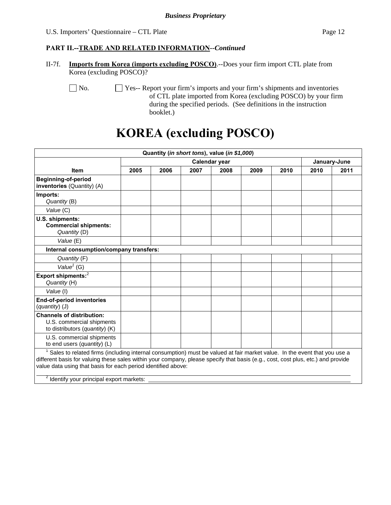II-7f. **Imports from Korea (imports excluding POSCO)**.--Does your firm import CTL plate from Korea (excluding POSCO)?

No.  $\Box$  Yes-- Report your firm's imports and your firm's shipments and inventories of CTL plate imported from Korea (excluding POSCO) by your firm during the specified periods. (See definitions in the instruction booklet.)

# **KOREA (excluding POSCO)**

|                                                                                                                                                                                                                                                                                                                                                                                       |      |      |      | Quantity (in short tons), value (in \$1,000) |      |      |      |              |
|---------------------------------------------------------------------------------------------------------------------------------------------------------------------------------------------------------------------------------------------------------------------------------------------------------------------------------------------------------------------------------------|------|------|------|----------------------------------------------|------|------|------|--------------|
|                                                                                                                                                                                                                                                                                                                                                                                       |      |      |      | Calendar year                                |      |      |      | January-June |
| <b>Item</b>                                                                                                                                                                                                                                                                                                                                                                           | 2005 | 2006 | 2007 | 2008                                         | 2009 | 2010 | 2010 | 2011         |
| <b>Beginning-of-period</b><br>inventories (Quantity) (A)                                                                                                                                                                                                                                                                                                                              |      |      |      |                                              |      |      |      |              |
| Imports:<br>Quantity (B)                                                                                                                                                                                                                                                                                                                                                              |      |      |      |                                              |      |      |      |              |
| Value (C)                                                                                                                                                                                                                                                                                                                                                                             |      |      |      |                                              |      |      |      |              |
| U.S. shipments:<br><b>Commercial shipments:</b><br>Quantity (D)                                                                                                                                                                                                                                                                                                                       |      |      |      |                                              |      |      |      |              |
| Value (E)                                                                                                                                                                                                                                                                                                                                                                             |      |      |      |                                              |      |      |      |              |
| Internal consumption/company transfers:                                                                                                                                                                                                                                                                                                                                               |      |      |      |                                              |      |      |      |              |
| Quantity (F)                                                                                                                                                                                                                                                                                                                                                                          |      |      |      |                                              |      |      |      |              |
| Value $1$ (G)                                                                                                                                                                                                                                                                                                                                                                         |      |      |      |                                              |      |      |      |              |
| Export shipments: <sup>2</sup><br>Quantity (H)                                                                                                                                                                                                                                                                                                                                        |      |      |      |                                              |      |      |      |              |
| Value (I)                                                                                                                                                                                                                                                                                                                                                                             |      |      |      |                                              |      |      |      |              |
| <b>End-of-period inventories</b><br>(quantity) (J)                                                                                                                                                                                                                                                                                                                                    |      |      |      |                                              |      |      |      |              |
| <b>Channels of distribution:</b><br>U.S. commercial shipments<br>to distributors (quantity) (K)                                                                                                                                                                                                                                                                                       |      |      |      |                                              |      |      |      |              |
| U.S. commercial shipments<br>to end users (quantity) (L)                                                                                                                                                                                                                                                                                                                              |      |      |      |                                              |      |      |      |              |
| Sales to related firms (including internal consumption) must be valued at fair market value. In the event that you use a<br>different basis for valuing these sales within your company, please specify that basis (e.g., cost, cost plus, etc.) and provide<br>value data using that basis for each period identified above:<br><sup>2</sup> Identify your principal export markets: |      |      |      |                                              |      |      |      |              |
|                                                                                                                                                                                                                                                                                                                                                                                       |      |      |      |                                              |      |      |      |              |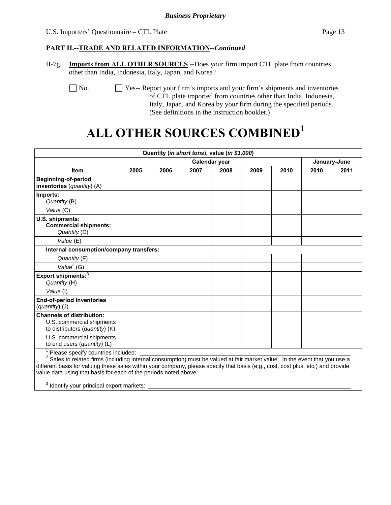#### **PART II.--TRADE AND RELATED INFORMATION***--Continued*

II-7g. **Imports from ALL OTHER SOURCES**.--Does your firm import CTL plate from countries other than India, Indonesia, Italy, Japan, and Korea?

No.  $\Box$  Yes-- Report your firm's imports and your firm's shipments and inventories of CTL plate imported from countries other than India, Indonesia, Italy, Japan, and Korea by your firm during the specified periods. (See definitions in the instruction booklet.)

# **ALL OTHER SOURCES COMBINED1**

|                                                                                                                                                                                                                                                                                                                                                                                                                                     |      |      |      | Quantity (in short tons), value (in \$1,000) |      |      |      |              |
|-------------------------------------------------------------------------------------------------------------------------------------------------------------------------------------------------------------------------------------------------------------------------------------------------------------------------------------------------------------------------------------------------------------------------------------|------|------|------|----------------------------------------------|------|------|------|--------------|
|                                                                                                                                                                                                                                                                                                                                                                                                                                     |      |      |      | Calendar year                                |      |      |      | January-June |
| <b>Item</b>                                                                                                                                                                                                                                                                                                                                                                                                                         | 2005 | 2006 | 2007 | 2008                                         | 2009 | 2010 | 2010 | 2011         |
| <b>Beginning-of-period</b><br>inventories (quantity) (A)                                                                                                                                                                                                                                                                                                                                                                            |      |      |      |                                              |      |      |      |              |
| Imports:<br>Quantity (B)                                                                                                                                                                                                                                                                                                                                                                                                            |      |      |      |                                              |      |      |      |              |
| Value (C)                                                                                                                                                                                                                                                                                                                                                                                                                           |      |      |      |                                              |      |      |      |              |
| U.S. shipments:<br><b>Commercial shipments:</b><br>Quantity (D)                                                                                                                                                                                                                                                                                                                                                                     |      |      |      |                                              |      |      |      |              |
| Value (E)                                                                                                                                                                                                                                                                                                                                                                                                                           |      |      |      |                                              |      |      |      |              |
| Internal consumption/company transfers:                                                                                                                                                                                                                                                                                                                                                                                             |      |      |      |                                              |      |      |      |              |
| Quantity (F)                                                                                                                                                                                                                                                                                                                                                                                                                        |      |      |      |                                              |      |      |      |              |
| Value <sup>2</sup> (G)                                                                                                                                                                                                                                                                                                                                                                                                              |      |      |      |                                              |      |      |      |              |
| Export shipments: <sup>3</sup><br>Quantity (H)                                                                                                                                                                                                                                                                                                                                                                                      |      |      |      |                                              |      |      |      |              |
| Value (I)                                                                                                                                                                                                                                                                                                                                                                                                                           |      |      |      |                                              |      |      |      |              |
| End-of-period inventories<br>(quantity) (J)                                                                                                                                                                                                                                                                                                                                                                                         |      |      |      |                                              |      |      |      |              |
| <b>Channels of distribution:</b><br>U.S. commercial shipments<br>to distributors (quantity) (K)                                                                                                                                                                                                                                                                                                                                     |      |      |      |                                              |      |      |      |              |
| U.S. commercial shipments<br>to end users (quantity) (L)                                                                                                                                                                                                                                                                                                                                                                            |      |      |      |                                              |      |      |      |              |
| Please specify countries included:<br><sup>2</sup> Sales to related firms (including internal consumption) must be valued at fair market value. In the event that you use a<br>different basis for valuing these sales within your company, please specify that basis (e.g., cost, cost plus, etc.) and provide<br>value data using that basis for each of the periods noted above:<br>3<br>Identify your principal export markets: |      |      |      |                                              |      |      |      |              |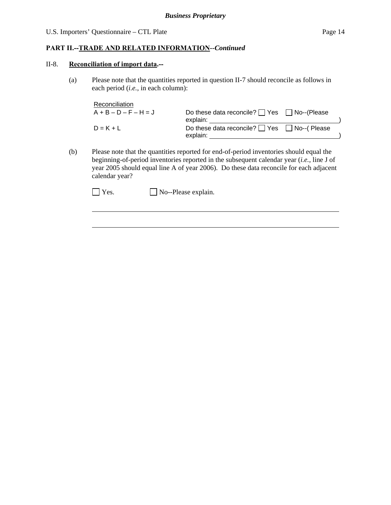#### **PART II.--TRADE AND RELATED INFORMATION***--Continued*

#### II-8. **Reconciliation of import data.--**

l

(a) Please note that the quantities reported in question II-7 should reconcile as follows in each period (*i.e.*, in each column):

| Reconciliation          |                                                                    |  |
|-------------------------|--------------------------------------------------------------------|--|
| $A + B - D - F - H = J$ | Do these data reconcile? $\Box$ Yes $\Box$ No--(Please<br>explain: |  |
| $D = K + L$             | Do these data reconcile? ■ Yes ■ No--(Please<br>explain:           |  |

(b) Please note that the quantities reported for end-of-period inventories should equal the beginning-of-period inventories reported in the subsequent calendar year (*i.e.*, line J of year 2005 should equal line A of year 2006). Do these data reconcile for each adjacent calendar year?

 $\Box$  Yes.  $\Box$  No--Please explain.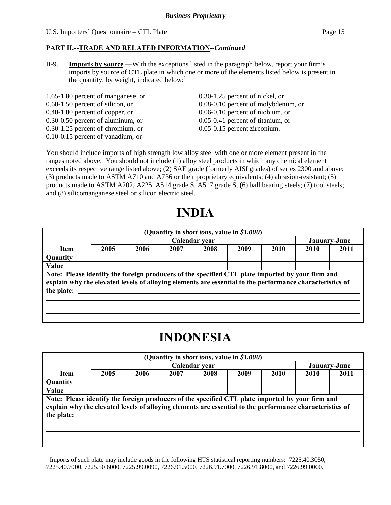#### **PART II.--TRADE AND RELATED INFORMATION***--Continued*

II-9. **Imports by source**.—With the exceptions listed in the paragraph below, report your firm's imports by source of CTL plate in which one or more of the elements listed below is present in the quantity, by weight, indicated below: $<sup>1</sup>$ </sup>

1.65-1.80 percent of manganese, or 0.30-1.25 percent of nickel, or 0.40-1.00 percent of copper, or 0.06-0.10 percent of niobium, or 0.30-0.50 percent of aluminum, or 0.05-0.41 percent of titanium, or 0.30-1.25 percent of chromium, or 0.05-0.15 percent zirconium. 0.10-0.15 percent of vanadium, or

 $\overline{a}$ 

0.60-1.50 percent of silicon, or 0.08-0.10 percent of molybdenum, or

You should include imports of high strength low alloy steel with one or more element present in the ranges noted above. You should not include (1) alloy steel products in which any chemical element exceeds its respective range listed above; (2) SAE grade (formerly AISI grades) of series 2300 and above; (3) products made to ASTM A710 and A736 or their proprietary equivalents; (4) abrasion-resistant; (5) products made to ASTM A202, A225, A514 grade S, A517 grade S, (6) ball bearing steels; (7) tool steels; and (8) silicomanganese steel or silicon electric steel.

# **INDIA**

|                                                                                                                                                                                                                            |      |      |      | (Quantity in <i>short tons</i> , value in \$1,000) |      |      |      |              |
|----------------------------------------------------------------------------------------------------------------------------------------------------------------------------------------------------------------------------|------|------|------|----------------------------------------------------|------|------|------|--------------|
|                                                                                                                                                                                                                            |      |      |      | Calendar year                                      |      |      |      | January-June |
| Item                                                                                                                                                                                                                       | 2005 | 2006 | 2007 | 2008                                               | 2009 | 2010 | 2010 | 2011         |
| Quantity                                                                                                                                                                                                                   |      |      |      |                                                    |      |      |      |              |
| Value                                                                                                                                                                                                                      |      |      |      |                                                    |      |      |      |              |
| Note: Please identify the foreign producers of the specified CTL plate imported by your firm and<br>explain why the elevated levels of alloying elements are essential to the performance characteristics of<br>the plate: |      |      |      |                                                    |      |      |      |              |
|                                                                                                                                                                                                                            |      |      |      |                                                    |      |      |      |              |

## **INDONESIA**

|                                                                                                                                                                                                                            |      |      |      | (Quantity in <i>short tons</i> , value in \$1,000) |      |             |             |              |
|----------------------------------------------------------------------------------------------------------------------------------------------------------------------------------------------------------------------------|------|------|------|----------------------------------------------------|------|-------------|-------------|--------------|
|                                                                                                                                                                                                                            |      |      |      | Calendar year                                      |      |             |             | January-June |
| <b>Item</b>                                                                                                                                                                                                                | 2005 | 2006 | 2007 | 2008                                               | 2009 | <b>2010</b> | <b>2010</b> | 2011         |
| Quantity                                                                                                                                                                                                                   |      |      |      |                                                    |      |             |             |              |
| Value                                                                                                                                                                                                                      |      |      |      |                                                    |      |             |             |              |
| Note: Please identify the foreign producers of the specified CTL plate imported by your firm and<br>explain why the elevated levels of alloying elements are essential to the performance characteristics of<br>the plate: |      |      |      |                                                    |      |             |             |              |

<sup>&</sup>lt;sup>1</sup> Imports of such plate may include goods in the following HTS statistical reporting numbers:  $7225.40.3050$ , 7225.40.7000, 7225.50.6000, 7225.99.0090, 7226.91.5000, 7226.91.7000, 7226.91.8000, and 7226.99.0000.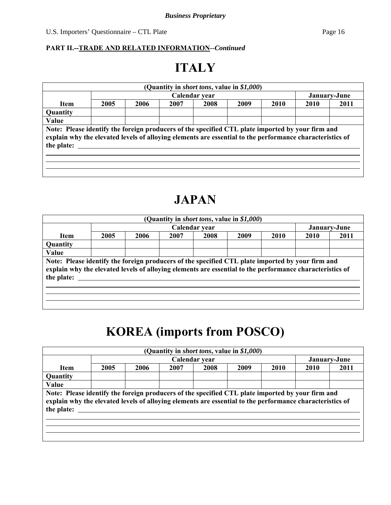### **PART II.--TRADE AND RELATED INFORMATION***--Continued*

# **ITALY**

|                                                                                                                                                                                                                            |      |      |      | (Quantity in <i>short tons</i> , value in \$1,000) |      |      |      |              |
|----------------------------------------------------------------------------------------------------------------------------------------------------------------------------------------------------------------------------|------|------|------|----------------------------------------------------|------|------|------|--------------|
|                                                                                                                                                                                                                            |      |      |      | Calendar year                                      |      |      |      | January-June |
| <b>Item</b>                                                                                                                                                                                                                | 2005 | 2006 | 2007 | 2008                                               | 2009 | 2010 | 2010 | 2011         |
| <b>Quantity</b>                                                                                                                                                                                                            |      |      |      |                                                    |      |      |      |              |
| Value                                                                                                                                                                                                                      |      |      |      |                                                    |      |      |      |              |
| Note: Please identify the foreign producers of the specified CTL plate imported by your firm and<br>explain why the elevated levels of alloying elements are essential to the performance characteristics of<br>the plate: |      |      |      |                                                    |      |      |      |              |

# **JAPAN**

|      |      |      |      |               |      |                                                    | January-June                                                                                                                                                                                                 |
|------|------|------|------|---------------|------|----------------------------------------------------|--------------------------------------------------------------------------------------------------------------------------------------------------------------------------------------------------------------|
| 2005 | 2006 | 2007 | 2008 | 2009          | 2010 | 2010                                               | 2011                                                                                                                                                                                                         |
|      |      |      |      |               |      |                                                    |                                                                                                                                                                                                              |
|      |      |      |      |               |      |                                                    |                                                                                                                                                                                                              |
|      |      |      |      |               |      |                                                    |                                                                                                                                                                                                              |
|      |      |      |      |               |      |                                                    |                                                                                                                                                                                                              |
|      |      |      |      |               |      |                                                    |                                                                                                                                                                                                              |
|      |      |      |      | Calendar year |      | (Quantity in <i>short tons</i> , value in \$1,000) | Note: Please identify the foreign producers of the specified CTL plate imported by your firm and<br>explain why the elevated levels of alloying elements are essential to the performance characteristics of |

# **KOREA (imports from POSCO)**

|                                                                                                                                                                                                                            |      |      |      | (Quantity in <i>short tons</i> , value in \$1,000) |      |      |      |              |
|----------------------------------------------------------------------------------------------------------------------------------------------------------------------------------------------------------------------------|------|------|------|----------------------------------------------------|------|------|------|--------------|
|                                                                                                                                                                                                                            |      |      |      | Calendar year                                      |      |      |      | January-June |
| <b>Item</b>                                                                                                                                                                                                                | 2005 | 2006 | 2007 | 2008                                               | 2009 | 2010 | 2010 | 2011         |
| <b>Quantity</b>                                                                                                                                                                                                            |      |      |      |                                                    |      |      |      |              |
| Value                                                                                                                                                                                                                      |      |      |      |                                                    |      |      |      |              |
| Note: Please identify the foreign producers of the specified CTL plate imported by your firm and<br>explain why the elevated levels of alloying elements are essential to the performance characteristics of<br>the plate: |      |      |      |                                                    |      |      |      |              |
|                                                                                                                                                                                                                            |      |      |      |                                                    |      |      |      |              |
|                                                                                                                                                                                                                            |      |      |      |                                                    |      |      |      |              |
|                                                                                                                                                                                                                            |      |      |      |                                                    |      |      |      |              |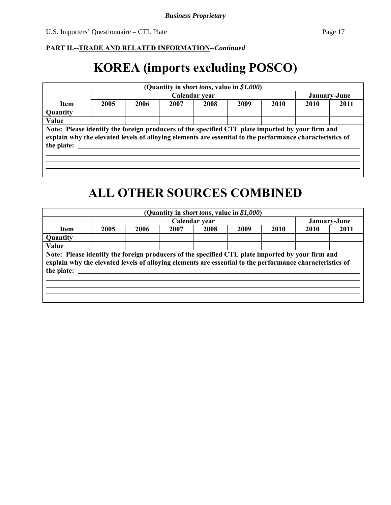#### **PART II.--TRADE AND RELATED INFORMATION***--Continued*

# **KOREA (imports excluding POSCO)**

| 2005<br>2006<br>2007<br>2009<br>2008<br>2010<br>2010<br><b>Item</b><br><b>Quantity</b><br>Value<br>Note: Please identify the foreign producers of the specified CTL plate imported by your firm and<br>explain why the elevated levels of alloying elements are essential to the performance characteristics of<br>the plate: |  |  | Calendar year |  | January-June |
|-------------------------------------------------------------------------------------------------------------------------------------------------------------------------------------------------------------------------------------------------------------------------------------------------------------------------------|--|--|---------------|--|--------------|
|                                                                                                                                                                                                                                                                                                                               |  |  |               |  | 2011         |
|                                                                                                                                                                                                                                                                                                                               |  |  |               |  |              |
|                                                                                                                                                                                                                                                                                                                               |  |  |               |  |              |
|                                                                                                                                                                                                                                                                                                                               |  |  |               |  |              |

# **ALL OTHER SOURCES COMBINED**

|                                                                                                                                                                                                                            |      |      |      | (Quantity in <i>short tons</i> , value in \$1,000) |      |      |      |              |
|----------------------------------------------------------------------------------------------------------------------------------------------------------------------------------------------------------------------------|------|------|------|----------------------------------------------------|------|------|------|--------------|
|                                                                                                                                                                                                                            |      |      |      | Calendar year                                      |      |      |      | January-June |
| Item                                                                                                                                                                                                                       | 2005 | 2006 | 2007 | 2008                                               | 2009 | 2010 | 2010 | 2011         |
| <b>Quantity</b>                                                                                                                                                                                                            |      |      |      |                                                    |      |      |      |              |
| Value                                                                                                                                                                                                                      |      |      |      |                                                    |      |      |      |              |
| Note: Please identify the foreign producers of the specified CTL plate imported by your firm and<br>explain why the elevated levels of alloying elements are essential to the performance characteristics of<br>the plate: |      |      |      |                                                    |      |      |      |              |
|                                                                                                                                                                                                                            |      |      |      |                                                    |      |      |      |              |
|                                                                                                                                                                                                                            |      |      |      |                                                    |      |      |      |              |
|                                                                                                                                                                                                                            |      |      |      |                                                    |      |      |      |              |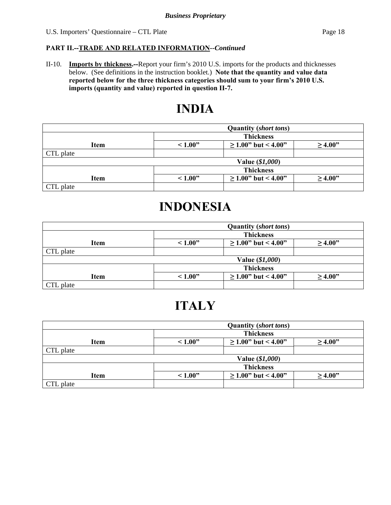#### **PART II.--TRADE AND RELATED INFORMATION***--Continued*

II-10. **Imports by thickness.--**Report your firm's 2010 U.S. imports for the products and thicknesses below. (See definitions in the instruction booklet.) **Note that the quantity and value data reported below for the three thickness categories should sum to your firm's 2010 U.S. imports (quantity and value) reported in question II-7.**

## **INDIA**

|             | <b>Quantity (short tons)</b>                       |                          |              |  |  |  |
|-------------|----------------------------------------------------|--------------------------|--------------|--|--|--|
|             | <b>Thickness</b>                                   |                          |              |  |  |  |
| <b>Item</b> | $\geq$ 1.00" but < 4.00"<br>~1.00"<br>$\geq 4.00"$ |                          |              |  |  |  |
| CTL plate   |                                                    |                          |              |  |  |  |
|             |                                                    | Value (\$1,000)          |              |  |  |  |
|             | <b>Thickness</b>                                   |                          |              |  |  |  |
| <b>Item</b> | ~1.00"                                             | $\geq$ 1.00" but < 4.00" | $\geq 4.00"$ |  |  |  |
| CTL plate   |                                                    |                          |              |  |  |  |

# **INDONESIA**

|             | <b>Quantity (short tons)</b>                       |                          |              |  |  |  |
|-------------|----------------------------------------------------|--------------------------|--------------|--|--|--|
|             |                                                    | <b>Thickness</b>         |              |  |  |  |
| Item        | $\geq$ 1.00" but < 4.00"<br>~1.00"<br>$\geq$ 4.00" |                          |              |  |  |  |
| CTL plate   |                                                    |                          |              |  |  |  |
|             |                                                    | Value (\$1,000)          |              |  |  |  |
|             | <b>Thickness</b>                                   |                          |              |  |  |  |
| <b>Item</b> | ~1.00"                                             | $\geq$ 1.00" but < 4.00" | $\geq 4.00"$ |  |  |  |
| CTL plate   |                                                    |                          |              |  |  |  |

# **ITALY**

|           | <b>Quantity (short tons)</b>                       |                           |              |  |  |  |
|-----------|----------------------------------------------------|---------------------------|--------------|--|--|--|
|           | <b>Thickness</b>                                   |                           |              |  |  |  |
| Item      | $\geq$ 1.00" but < 4.00"<br>~1.00"<br>$\geq 4.00"$ |                           |              |  |  |  |
| CTL plate |                                                    |                           |              |  |  |  |
|           |                                                    | Value (\$1,000)           |              |  |  |  |
|           | <b>Thickness</b>                                   |                           |              |  |  |  |
| Item      | ~1.00"                                             | $\geq 1.00$ " but < 4.00" | $\geq 4.00"$ |  |  |  |
| CTL plate |                                                    |                           |              |  |  |  |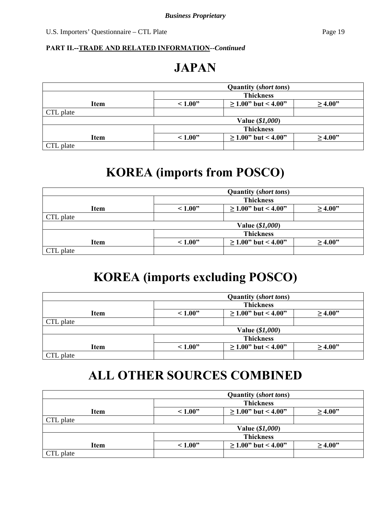#### **PART II.--TRADE AND RELATED INFORMATION***--Continued*

# **JAPAN**

|           |                                                    | <b>Quantity (short tons)</b> |              |  |  |  |
|-----------|----------------------------------------------------|------------------------------|--------------|--|--|--|
|           | <b>Thickness</b>                                   |                              |              |  |  |  |
| Item      | $\geq$ 1.00" but < 4.00"<br>~1.00"<br>$\geq 4.00"$ |                              |              |  |  |  |
| CTL plate |                                                    |                              |              |  |  |  |
|           |                                                    | Value (\$1,000)              |              |  |  |  |
|           | <b>Thickness</b>                                   |                              |              |  |  |  |
| Item      | ~1.00"                                             | $\geq 1.00$ " but < 4.00"    | $\geq 4.00"$ |  |  |  |
| CTL plate |                                                    |                              |              |  |  |  |

# **KOREA (imports from POSCO)**

|             |                                                    | <b>Quantity (short tons)</b> |              |  |  |  |  |
|-------------|----------------------------------------------------|------------------------------|--------------|--|--|--|--|
|             | <b>Thickness</b>                                   |                              |              |  |  |  |  |
| <b>Item</b> | $\geq$ 1.00" but < 4.00"<br>~1.00"<br>$\geq 4.00"$ |                              |              |  |  |  |  |
| CTL plate   |                                                    |                              |              |  |  |  |  |
|             |                                                    | Value (\$1,000)              |              |  |  |  |  |
|             | <b>Thickness</b>                                   |                              |              |  |  |  |  |
| Item        | ~1.00"                                             | $\geq 1.00$ " but < 4.00"    | $\geq 4.00"$ |  |  |  |  |
| CTL plate   |                                                    |                              |              |  |  |  |  |

# **KOREA (imports excluding POSCO)**

|           |                                                     | <b>Quantity (short tons)</b> |              |  |  |  |  |
|-----------|-----------------------------------------------------|------------------------------|--------------|--|--|--|--|
|           |                                                     | <b>Thickness</b>             |              |  |  |  |  |
| Item      | $\geq 1.00$ " but < 4.00"<br>~1.00"<br>$\geq 4.00"$ |                              |              |  |  |  |  |
| CTL plate |                                                     |                              |              |  |  |  |  |
|           |                                                     | Value (\$1,000)              |              |  |  |  |  |
|           | <b>Thickness</b>                                    |                              |              |  |  |  |  |
| Item      | ~1.00"                                              | $\geq$ 1.00" but < 4.00"     | $\geq 4.00"$ |  |  |  |  |
| CTL plate |                                                     |                              |              |  |  |  |  |

# **ALL OTHER SOURCES COMBINED**

|           | <b>Quantity (short tons)</b>                       |                           |        |  |  |  |  |
|-----------|----------------------------------------------------|---------------------------|--------|--|--|--|--|
|           |                                                    | <b>Thickness</b>          |        |  |  |  |  |
| Item      | $\geq$ 1.00" but < 4.00"<br>~1.00"<br>$\geq 4.00"$ |                           |        |  |  |  |  |
| CTL plate |                                                    |                           |        |  |  |  |  |
|           |                                                    | Value (\$1,000)           |        |  |  |  |  |
|           | <b>Thickness</b>                                   |                           |        |  |  |  |  |
| Item      | ~1.00"                                             | $\geq 1.00$ " but < 4.00" | >4.00" |  |  |  |  |
| CTL plate |                                                    |                           |        |  |  |  |  |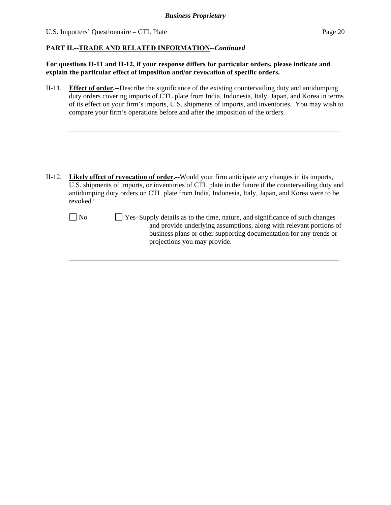l

 $\overline{a}$ 

#### **PART II.--TRADE AND RELATED INFORMATION***--Continued*

**For questions II-11 and II-12, if your response differs for particular orders, please indicate and explain the particular effect of imposition and/or revocation of specific orders.**

II-11. **Effect of order.--**Describe the significance of the existing countervailing duty and antidumping duty orders covering imports of CTL plate from India, Indonesia, Italy, Japan, and Korea in terms of its effect on your firm's imports, U.S. shipments of imports, and inventories. You may wish to compare your firm's operations before and after the imposition of the orders.

- II-12. **Likely effect of revocation of order.--**Would your firm anticipate any changes in its imports, U.S. shipments of imports, or inventories of CTL plate in the future if the countervailing duty and antidumping duty orders on CTL plate from India, Indonesia, Italy, Japan, and Korea were to be revoked?
	- No  $\Box$  Yes–Supply details as to the time, nature, and significance of such changes and provide underlying assumptions, along with relevant portions of business plans or other supporting documentation for any trends or projections you may provide.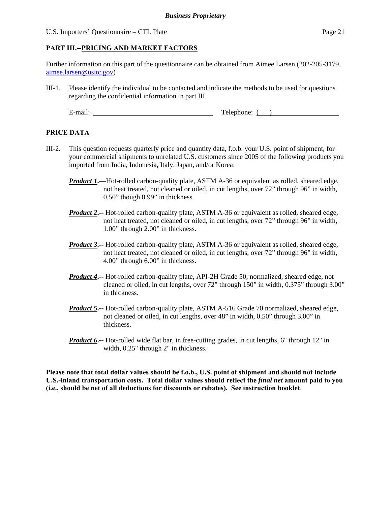#### **PART III.--PRICING AND MARKET FACTORS**

Further information on this part of the questionnaire can be obtained from Aimee Larsen (202-205-3179, aimee.larsen@usitc.gov)

III-1. Please identify the individual to be contacted and indicate the methods to be used for questions regarding the confidential information in part III.

E-mail: Telephone: ( )

#### **PRICE DATA**

- III-2. This question requests quarterly price and quantity data, f.o.b. your U.S. point of shipment, for your commercial shipments to unrelated U.S. customers since 2005 of the following products you imported from India, Indonesia, Italy, Japan, and/or Korea:
	- *Product 1***.—**Hot-rolled carbon-quality plate, ASTM A-36 or equivalent as rolled, sheared edge, not heat treated, not cleaned or oiled, in cut lengths, over 72" through 96" in width, 0.50" though 0.99" in thickness.
	- *Product 2*. -- Hot-rolled carbon-quality plate, ASTM A-36 or equivalent as rolled, sheared edge, not heat treated, not cleaned or oiled, in cut lengths, over 72" through 96" in width, 1.00" through 2.00" in thickness.
	- *Product 3*. -- Hot-rolled carbon-quality plate, ASTM A-36 or equivalent as rolled, sheared edge, not heat treated, not cleaned or oiled, in cut lengths, over 72" through 96" in width, 4.00" through 6.00" in thickness.
	- *Product 4***.--** Hot-rolled carbon-quality plate, API-2H Grade 50, normalized, sheared edge, not cleaned or oiled, in cut lengths, over 72" through 150" in width, 0.375" through 3.00" in thickness.
	- *Product 5***.--** Hot-rolled carbon-quality plate, ASTM A-516 Grade 70 normalized, sheared edge, not cleaned or oiled, in cut lengths, over 48" in width, 0.50" through 3.00" in thickness.
	- *Product* 6<sup>*.*</sup>-- Hot-rolled wide flat bar, in free-cutting grades, in cut lengths, 6" through 12" in width, 0.25" through 2" in thickness.

**Please note that total dollar values should be f.o.b., U.S. point of shipment and should not include U.S.-inland transportation costs. Total dollar values should reflect the** *final net* **amount paid to you (i.e., should be net of all deductions for discounts or rebates). See instruction booklet**.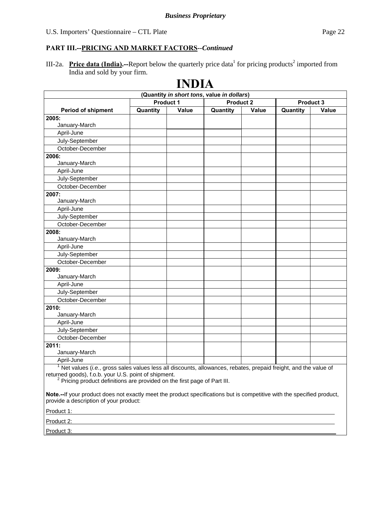III-2a. **Price data (India).**—Report below the quarterly price data<sup>1</sup> for pricing products<sup>2</sup> imported from India and sold by your firm.

|                                                                                                                                                                                                                                                                                                                                                                                                        |                  | ПІЛІЧ        |                                            |              |                  |       |
|--------------------------------------------------------------------------------------------------------------------------------------------------------------------------------------------------------------------------------------------------------------------------------------------------------------------------------------------------------------------------------------------------------|------------------|--------------|--------------------------------------------|--------------|------------------|-------|
|                                                                                                                                                                                                                                                                                                                                                                                                        |                  |              | (Quantity in short tons, value in dollars) |              |                  |       |
|                                                                                                                                                                                                                                                                                                                                                                                                        | <b>Product 1</b> |              | <b>Product 2</b>                           |              | <b>Product 3</b> |       |
| <b>Period of shipment</b>                                                                                                                                                                                                                                                                                                                                                                              | Quantity         | <b>Value</b> | Quantity                                   | <b>Value</b> | Quantity         | Value |
| 2005:                                                                                                                                                                                                                                                                                                                                                                                                  |                  |              |                                            |              |                  |       |
| January-March                                                                                                                                                                                                                                                                                                                                                                                          |                  |              |                                            |              |                  |       |
| April-June                                                                                                                                                                                                                                                                                                                                                                                             |                  |              |                                            |              |                  |       |
| July-September                                                                                                                                                                                                                                                                                                                                                                                         |                  |              |                                            |              |                  |       |
| October-December                                                                                                                                                                                                                                                                                                                                                                                       |                  |              |                                            |              |                  |       |
| 2006:                                                                                                                                                                                                                                                                                                                                                                                                  |                  |              |                                            |              |                  |       |
| January-March                                                                                                                                                                                                                                                                                                                                                                                          |                  |              |                                            |              |                  |       |
| April-June                                                                                                                                                                                                                                                                                                                                                                                             |                  |              |                                            |              |                  |       |
| July-September                                                                                                                                                                                                                                                                                                                                                                                         |                  |              |                                            |              |                  |       |
| October-December                                                                                                                                                                                                                                                                                                                                                                                       |                  |              |                                            |              |                  |       |
| 2007:                                                                                                                                                                                                                                                                                                                                                                                                  |                  |              |                                            |              |                  |       |
| January-March                                                                                                                                                                                                                                                                                                                                                                                          |                  |              |                                            |              |                  |       |
| April-June                                                                                                                                                                                                                                                                                                                                                                                             |                  |              |                                            |              |                  |       |
| July-September                                                                                                                                                                                                                                                                                                                                                                                         |                  |              |                                            |              |                  |       |
| October-December                                                                                                                                                                                                                                                                                                                                                                                       |                  |              |                                            |              |                  |       |
| 2008:                                                                                                                                                                                                                                                                                                                                                                                                  |                  |              |                                            |              |                  |       |
| January-March                                                                                                                                                                                                                                                                                                                                                                                          |                  |              |                                            |              |                  |       |
| April-June                                                                                                                                                                                                                                                                                                                                                                                             |                  |              |                                            |              |                  |       |
| July-September                                                                                                                                                                                                                                                                                                                                                                                         |                  |              |                                            |              |                  |       |
| October-December                                                                                                                                                                                                                                                                                                                                                                                       |                  |              |                                            |              |                  |       |
| 2009:                                                                                                                                                                                                                                                                                                                                                                                                  |                  |              |                                            |              |                  |       |
| January-March                                                                                                                                                                                                                                                                                                                                                                                          |                  |              |                                            |              |                  |       |
| April-June                                                                                                                                                                                                                                                                                                                                                                                             |                  |              |                                            |              |                  |       |
| July-September                                                                                                                                                                                                                                                                                                                                                                                         |                  |              |                                            |              |                  |       |
| October-December                                                                                                                                                                                                                                                                                                                                                                                       |                  |              |                                            |              |                  |       |
| 2010:                                                                                                                                                                                                                                                                                                                                                                                                  |                  |              |                                            |              |                  |       |
| January-March                                                                                                                                                                                                                                                                                                                                                                                          |                  |              |                                            |              |                  |       |
| April-June                                                                                                                                                                                                                                                                                                                                                                                             |                  |              |                                            |              |                  |       |
| July-September                                                                                                                                                                                                                                                                                                                                                                                         |                  |              |                                            |              |                  |       |
| October-December                                                                                                                                                                                                                                                                                                                                                                                       |                  |              |                                            |              |                  |       |
| 2011:                                                                                                                                                                                                                                                                                                                                                                                                  |                  |              |                                            |              |                  |       |
| January-March                                                                                                                                                                                                                                                                                                                                                                                          |                  |              |                                            |              |                  |       |
| April-June                                                                                                                                                                                                                                                                                                                                                                                             |                  |              |                                            |              |                  |       |
| $1$ Net values ( <i>i.e.</i> , gross sales values less all discounts, allowances, rebates, prepaid freight, and the value of<br>returned goods), f.o.b. your U.S. point of shipment.<br><sup>2</sup> Pricing product definitions are provided on the first page of Part III.<br>Note.--If your product does not exactly meet the product specifications but is competitive with the specified product, |                  |              |                                            |              |                  |       |
| provide a description of your product:                                                                                                                                                                                                                                                                                                                                                                 |                  |              |                                            |              |                  |       |

## **INDIA**

Product 1:

Product 2:

Product 3: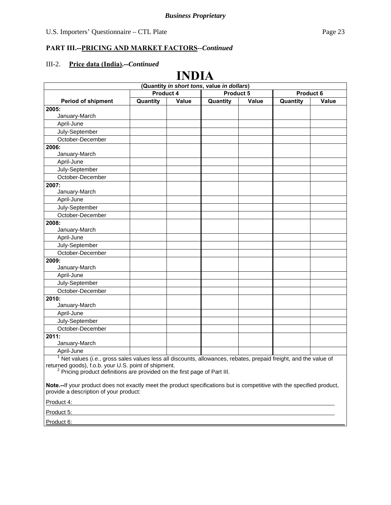### **PART III.--PRICING AND MARKET FACTORS***--Continued*

### III-2. **Price data (India).--***Continued*

## **INDIA**

| (Quantity in short tons, value in dollars)                                                                                                                                                                                                                          |           |       |                        |       |          |       |
|---------------------------------------------------------------------------------------------------------------------------------------------------------------------------------------------------------------------------------------------------------------------|-----------|-------|------------------------|-------|----------|-------|
|                                                                                                                                                                                                                                                                     | Product 4 |       | Product 5<br>Product 6 |       |          |       |
| <b>Period of shipment</b>                                                                                                                                                                                                                                           | Quantity  | Value | Quantity               | Value | Quantity | Value |
| 2005:                                                                                                                                                                                                                                                               |           |       |                        |       |          |       |
| January-March                                                                                                                                                                                                                                                       |           |       |                        |       |          |       |
| April-June                                                                                                                                                                                                                                                          |           |       |                        |       |          |       |
| July-September                                                                                                                                                                                                                                                      |           |       |                        |       |          |       |
| October-December                                                                                                                                                                                                                                                    |           |       |                        |       |          |       |
| 2006:                                                                                                                                                                                                                                                               |           |       |                        |       |          |       |
| January-March                                                                                                                                                                                                                                                       |           |       |                        |       |          |       |
| April-June                                                                                                                                                                                                                                                          |           |       |                        |       |          |       |
| July-September                                                                                                                                                                                                                                                      |           |       |                        |       |          |       |
| October-December                                                                                                                                                                                                                                                    |           |       |                        |       |          |       |
| 2007:                                                                                                                                                                                                                                                               |           |       |                        |       |          |       |
| January-March                                                                                                                                                                                                                                                       |           |       |                        |       |          |       |
| April-June                                                                                                                                                                                                                                                          |           |       |                        |       |          |       |
| July-September                                                                                                                                                                                                                                                      |           |       |                        |       |          |       |
| October-December                                                                                                                                                                                                                                                    |           |       |                        |       |          |       |
| 2008:                                                                                                                                                                                                                                                               |           |       |                        |       |          |       |
| January-March                                                                                                                                                                                                                                                       |           |       |                        |       |          |       |
| April-June                                                                                                                                                                                                                                                          |           |       |                        |       |          |       |
| July-September                                                                                                                                                                                                                                                      |           |       |                        |       |          |       |
| October-December                                                                                                                                                                                                                                                    |           |       |                        |       |          |       |
| 2009:                                                                                                                                                                                                                                                               |           |       |                        |       |          |       |
| January-March                                                                                                                                                                                                                                                       |           |       |                        |       |          |       |
| April-June                                                                                                                                                                                                                                                          |           |       |                        |       |          |       |
| July-September                                                                                                                                                                                                                                                      |           |       |                        |       |          |       |
| October-December                                                                                                                                                                                                                                                    |           |       |                        |       |          |       |
| 2010:                                                                                                                                                                                                                                                               |           |       |                        |       |          |       |
| January-March                                                                                                                                                                                                                                                       |           |       |                        |       |          |       |
| April-June                                                                                                                                                                                                                                                          |           |       |                        |       |          |       |
| July-September                                                                                                                                                                                                                                                      |           |       |                        |       |          |       |
| October-December                                                                                                                                                                                                                                                    |           |       |                        |       |          |       |
| 2011:                                                                                                                                                                                                                                                               |           |       |                        |       |          |       |
| January-March                                                                                                                                                                                                                                                       |           |       |                        |       |          |       |
| April-June                                                                                                                                                                                                                                                          |           |       |                        |       |          |       |
| $1$ Net values (i.e., gross sales values less all discounts, allowances, rebates, prepaid freight, and the value of<br>returned goods), f.o.b. your U.S. point of shipment.<br><sup>2</sup> Pricing product definitions are provided on the first page of Part III. |           |       |                        |       |          |       |
| Note.--If your product does not exactly meet the product specifications but is competitive with the specified product,<br>provide a description of your product:                                                                                                    |           |       |                        |       |          |       |
| Product 4:                                                                                                                                                                                                                                                          |           |       |                        |       |          |       |
| Product 5:                                                                                                                                                                                                                                                          |           |       |                        |       |          |       |

Product 6: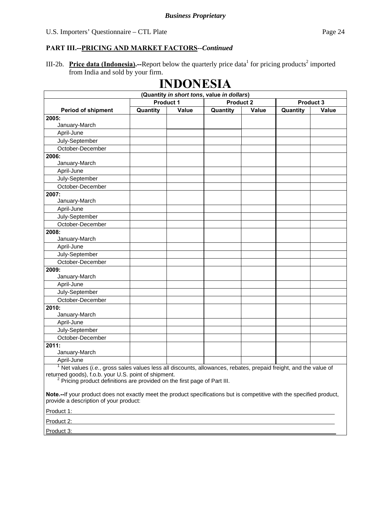III-2b. Price data (Indonesia).--Report below the quarterly price data<sup>1</sup> for pricing products<sup>2</sup> imported from India and sold by your firm.

# **INDONESIA**

| (Quantity in short tons, value in dollars)                                                                                                                                                                                                                          |          |                  |                  |       |                  |       |
|---------------------------------------------------------------------------------------------------------------------------------------------------------------------------------------------------------------------------------------------------------------------|----------|------------------|------------------|-------|------------------|-------|
|                                                                                                                                                                                                                                                                     |          | <b>Product 1</b> | <b>Product 2</b> |       | <b>Product 3</b> |       |
| <b>Period of shipment</b>                                                                                                                                                                                                                                           | Quantity | Value            | Quantity         | Value | Quantity         | Value |
| 2005:                                                                                                                                                                                                                                                               |          |                  |                  |       |                  |       |
| January-March                                                                                                                                                                                                                                                       |          |                  |                  |       |                  |       |
| April-June                                                                                                                                                                                                                                                          |          |                  |                  |       |                  |       |
| July-September                                                                                                                                                                                                                                                      |          |                  |                  |       |                  |       |
| October-December                                                                                                                                                                                                                                                    |          |                  |                  |       |                  |       |
| 2006:                                                                                                                                                                                                                                                               |          |                  |                  |       |                  |       |
| January-March                                                                                                                                                                                                                                                       |          |                  |                  |       |                  |       |
| April-June                                                                                                                                                                                                                                                          |          |                  |                  |       |                  |       |
| July-September                                                                                                                                                                                                                                                      |          |                  |                  |       |                  |       |
| October-December                                                                                                                                                                                                                                                    |          |                  |                  |       |                  |       |
| 2007:                                                                                                                                                                                                                                                               |          |                  |                  |       |                  |       |
| January-March                                                                                                                                                                                                                                                       |          |                  |                  |       |                  |       |
| April-June                                                                                                                                                                                                                                                          |          |                  |                  |       |                  |       |
| July-September                                                                                                                                                                                                                                                      |          |                  |                  |       |                  |       |
| October-December                                                                                                                                                                                                                                                    |          |                  |                  |       |                  |       |
| 2008:                                                                                                                                                                                                                                                               |          |                  |                  |       |                  |       |
| January-March                                                                                                                                                                                                                                                       |          |                  |                  |       |                  |       |
| April-June                                                                                                                                                                                                                                                          |          |                  |                  |       |                  |       |
| July-September                                                                                                                                                                                                                                                      |          |                  |                  |       |                  |       |
| October-December                                                                                                                                                                                                                                                    |          |                  |                  |       |                  |       |
| 2009:                                                                                                                                                                                                                                                               |          |                  |                  |       |                  |       |
| January-March                                                                                                                                                                                                                                                       |          |                  |                  |       |                  |       |
| April-June                                                                                                                                                                                                                                                          |          |                  |                  |       |                  |       |
| July-September                                                                                                                                                                                                                                                      |          |                  |                  |       |                  |       |
| October-December                                                                                                                                                                                                                                                    |          |                  |                  |       |                  |       |
| 2010:                                                                                                                                                                                                                                                               |          |                  |                  |       |                  |       |
| January-March                                                                                                                                                                                                                                                       |          |                  |                  |       |                  |       |
| April-June                                                                                                                                                                                                                                                          |          |                  |                  |       |                  |       |
| July-September                                                                                                                                                                                                                                                      |          |                  |                  |       |                  |       |
| October-December                                                                                                                                                                                                                                                    |          |                  |                  |       |                  |       |
| 2011:                                                                                                                                                                                                                                                               |          |                  |                  |       |                  |       |
| January-March                                                                                                                                                                                                                                                       |          |                  |                  |       |                  |       |
| April-June                                                                                                                                                                                                                                                          |          |                  |                  |       |                  |       |
| $1$ Net values (i.e., gross sales values less all discounts, allowances, rebates, prepaid freight, and the value of<br>returned goods), f.o.b. your U.S. point of shipment.<br><sup>2</sup> Pricing product definitions are provided on the first page of Part III. |          |                  |                  |       |                  |       |
| Note.--If your product does not exactly meet the product specifications but is competitive with the specified product,                                                                                                                                              |          |                  |                  |       |                  |       |

provide a description of your product:

Product 1:

Product 2:

Product 3: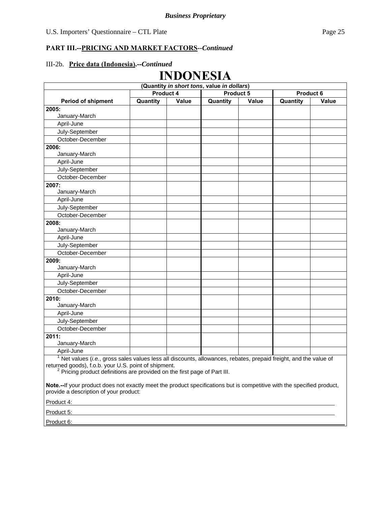### III-2b. **Price data (Indonesia).--***Continued*

## **INDONESIA**

| (Quantity in short tons, value in dollars)                                                                                                                                  |           |              |           |              |                  |              |
|-----------------------------------------------------------------------------------------------------------------------------------------------------------------------------|-----------|--------------|-----------|--------------|------------------|--------------|
|                                                                                                                                                                             | Product 4 |              | Product 5 |              | <b>Product 6</b> |              |
| <b>Period of shipment</b>                                                                                                                                                   | Quantity  | <b>Value</b> | Quantity  | <b>Value</b> | Quantity         | <b>Value</b> |
| 2005:                                                                                                                                                                       |           |              |           |              |                  |              |
| January-March                                                                                                                                                               |           |              |           |              |                  |              |
| April-June                                                                                                                                                                  |           |              |           |              |                  |              |
| July-September                                                                                                                                                              |           |              |           |              |                  |              |
| October-December                                                                                                                                                            |           |              |           |              |                  |              |
| 2006:                                                                                                                                                                       |           |              |           |              |                  |              |
| January-March                                                                                                                                                               |           |              |           |              |                  |              |
| April-June                                                                                                                                                                  |           |              |           |              |                  |              |
| July-September                                                                                                                                                              |           |              |           |              |                  |              |
| October-December                                                                                                                                                            |           |              |           |              |                  |              |
| 2007:                                                                                                                                                                       |           |              |           |              |                  |              |
| January-March                                                                                                                                                               |           |              |           |              |                  |              |
| April-June                                                                                                                                                                  |           |              |           |              |                  |              |
| July-September                                                                                                                                                              |           |              |           |              |                  |              |
| October-December                                                                                                                                                            |           |              |           |              |                  |              |
| 2008:                                                                                                                                                                       |           |              |           |              |                  |              |
| January-March                                                                                                                                                               |           |              |           |              |                  |              |
| April-June                                                                                                                                                                  |           |              |           |              |                  |              |
| July-September                                                                                                                                                              |           |              |           |              |                  |              |
| October-December                                                                                                                                                            |           |              |           |              |                  |              |
| 2009:                                                                                                                                                                       |           |              |           |              |                  |              |
| January-March                                                                                                                                                               |           |              |           |              |                  |              |
| April-June                                                                                                                                                                  |           |              |           |              |                  |              |
| July-September                                                                                                                                                              |           |              |           |              |                  |              |
| October-December                                                                                                                                                            |           |              |           |              |                  |              |
| 2010:                                                                                                                                                                       |           |              |           |              |                  |              |
| January-March                                                                                                                                                               |           |              |           |              |                  |              |
| April-June                                                                                                                                                                  |           |              |           |              |                  |              |
| July-September                                                                                                                                                              |           |              |           |              |                  |              |
| October-December                                                                                                                                                            |           |              |           |              |                  |              |
| 2011:                                                                                                                                                                       |           |              |           |              |                  |              |
| January-March                                                                                                                                                               |           |              |           |              |                  |              |
| April-June                                                                                                                                                                  |           |              |           |              |                  |              |
| $1$ Net values (i.e., gross sales values less all discounts, allowances, rebates, prepaid freight, and the value of<br>returned goods), f.o.b. your U.S. point of shipment. |           |              |           |              |                  |              |
| <sup>2</sup> Pricing product definitions are provided on the first page of Part III.                                                                                        |           |              |           |              |                  |              |
| Note.--If your product does not exactly meet the product specifications but is competitive with the specified product,<br>provide a description of your product:            |           |              |           |              |                  |              |
| Product 4:                                                                                                                                                                  |           |              |           |              |                  |              |
| Product 5:                                                                                                                                                                  |           |              |           |              |                  |              |

Product 6: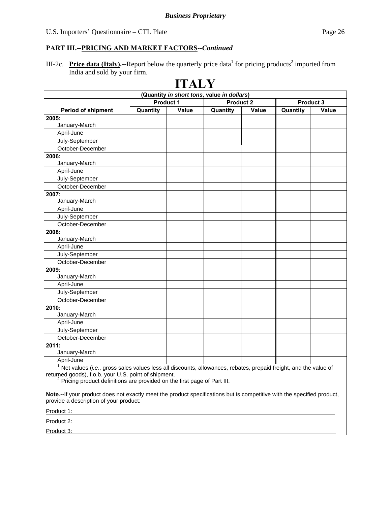III-2c. **Price data (Italy).**—Report below the quarterly price data<sup>1</sup> for pricing products<sup>2</sup> imported from India and sold by your firm.

|                                                                                                                                                                                                                                                                 |                                            | <b>ITALY</b> |                  |              |                   |  |
|-----------------------------------------------------------------------------------------------------------------------------------------------------------------------------------------------------------------------------------------------------------------|--------------------------------------------|--------------|------------------|--------------|-------------------|--|
|                                                                                                                                                                                                                                                                 | (Quantity in short tons, value in dollars) |              |                  |              |                   |  |
|                                                                                                                                                                                                                                                                 | <b>Product 1</b>                           |              | <b>Product 2</b> |              | Product 3         |  |
| <b>Period of shipment</b>                                                                                                                                                                                                                                       | Quantity                                   | <b>Value</b> | Quantity         | <b>Value</b> | Value<br>Quantity |  |
| 2005:                                                                                                                                                                                                                                                           |                                            |              |                  |              |                   |  |
| January-March                                                                                                                                                                                                                                                   |                                            |              |                  |              |                   |  |
| April-June                                                                                                                                                                                                                                                      |                                            |              |                  |              |                   |  |
| July-September                                                                                                                                                                                                                                                  |                                            |              |                  |              |                   |  |
| October-December                                                                                                                                                                                                                                                |                                            |              |                  |              |                   |  |
| 2006:                                                                                                                                                                                                                                                           |                                            |              |                  |              |                   |  |
| January-March                                                                                                                                                                                                                                                   |                                            |              |                  |              |                   |  |
| April-June                                                                                                                                                                                                                                                      |                                            |              |                  |              |                   |  |
| July-September                                                                                                                                                                                                                                                  |                                            |              |                  |              |                   |  |
| October-December                                                                                                                                                                                                                                                |                                            |              |                  |              |                   |  |
| 2007:                                                                                                                                                                                                                                                           |                                            |              |                  |              |                   |  |
| January-March                                                                                                                                                                                                                                                   |                                            |              |                  |              |                   |  |
| April-June                                                                                                                                                                                                                                                      |                                            |              |                  |              |                   |  |
| July-September                                                                                                                                                                                                                                                  |                                            |              |                  |              |                   |  |
| October-December                                                                                                                                                                                                                                                |                                            |              |                  |              |                   |  |
| 2008:                                                                                                                                                                                                                                                           |                                            |              |                  |              |                   |  |
| January-March                                                                                                                                                                                                                                                   |                                            |              |                  |              |                   |  |
| April-June                                                                                                                                                                                                                                                      |                                            |              |                  |              |                   |  |
| July-September                                                                                                                                                                                                                                                  |                                            |              |                  |              |                   |  |
| October-December                                                                                                                                                                                                                                                |                                            |              |                  |              |                   |  |
| 2009:                                                                                                                                                                                                                                                           |                                            |              |                  |              |                   |  |
| January-March                                                                                                                                                                                                                                                   |                                            |              |                  |              |                   |  |
| April-June                                                                                                                                                                                                                                                      |                                            |              |                  |              |                   |  |
| July-September                                                                                                                                                                                                                                                  |                                            |              |                  |              |                   |  |
| October-December                                                                                                                                                                                                                                                |                                            |              |                  |              |                   |  |
| 2010:                                                                                                                                                                                                                                                           |                                            |              |                  |              |                   |  |
| January-March                                                                                                                                                                                                                                                   |                                            |              |                  |              |                   |  |
| April-June                                                                                                                                                                                                                                                      |                                            |              |                  |              |                   |  |
| July-September                                                                                                                                                                                                                                                  |                                            |              |                  |              |                   |  |
| October-December                                                                                                                                                                                                                                                |                                            |              |                  |              |                   |  |
| 2011:                                                                                                                                                                                                                                                           |                                            |              |                  |              |                   |  |
| January-March                                                                                                                                                                                                                                                   |                                            |              |                  |              |                   |  |
| April-June                                                                                                                                                                                                                                                      |                                            |              |                  |              |                   |  |
| Net values (i.e., gross sales values less all discounts, allowances, rebates, prepaid freight, and the value of<br>returned goods), f.o.b. your U.S. point of shipment.<br><sup>2</sup> Pricing product definitions are provided on the first page of Part III. |                                            |              |                  |              |                   |  |
| Note.--If your product does not exactly meet the product specifications but is competitive with the specified product,<br>provide a description of your product:                                                                                                |                                            |              |                  |              |                   |  |

Product 1:

Product 2:

Product 3: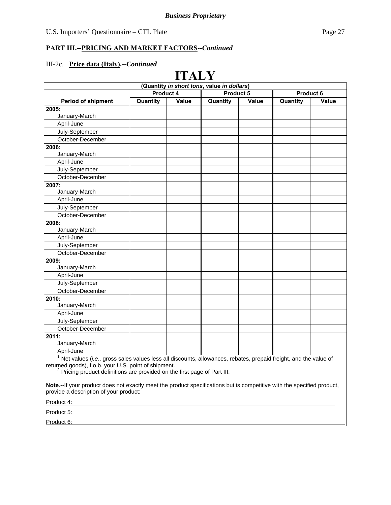#### III-2c. **Price data (Italy).--***Continued*

#### **ITALY (Quantity** *in short tons***, value** *in dollars***) Period of shipment**  Product 4 Product 5 Product 6 **Quantity Value Quantity Value Quantity Value 2005:**  January-March April-June July-September October-December **2006:**  January-March April-June July-September October-December **2007:**  January-March April-June July-September October-December **2008:**  January-March April-June July-September October-December **2009:**  January-March April-June July-September October-December **2010:**  January-March April-June July-September October-December **2011:**  January-March April-June <sup>1</sup> Net values (*i.e.*, gross sales values less all discounts, allowances, rebates, prepaid freight, and the value of returned goods), f.o.b. your U.S. point of shipment.  $2$  Pricing product definitions are provided on the first page of Part III.

**Note.--**If your product does not exactly meet the product specifications but is competitive with the specified product, provide a description of your product:

Product 4:

Product 5:

Product 6: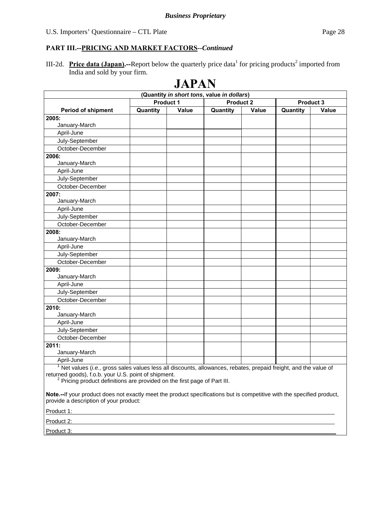III-2d. **Price data (Japan).**—Report below the quarterly price data for pricing products<sup>2</sup> imported from India and sold by your firm.

| <b>JAPAN</b>                                                                                                    |                                            |       |          |              |          |       |
|-----------------------------------------------------------------------------------------------------------------|--------------------------------------------|-------|----------|--------------|----------|-------|
|                                                                                                                 | (Quantity in short tons, value in dollars) |       |          |              |          |       |
| <b>Product 1</b><br><b>Product 2</b>                                                                            |                                            |       |          | Product 3    |          |       |
| <b>Period of shipment</b>                                                                                       | Quantity                                   | Value | Quantity | <b>Value</b> | Quantity | Value |
| 2005:                                                                                                           |                                            |       |          |              |          |       |
| January-March                                                                                                   |                                            |       |          |              |          |       |
| April-June                                                                                                      |                                            |       |          |              |          |       |
| July-September                                                                                                  |                                            |       |          |              |          |       |
| October-December                                                                                                |                                            |       |          |              |          |       |
| 2006:                                                                                                           |                                            |       |          |              |          |       |
| January-March                                                                                                   |                                            |       |          |              |          |       |
| April-June                                                                                                      |                                            |       |          |              |          |       |
| July-September                                                                                                  |                                            |       |          |              |          |       |
| October-December                                                                                                |                                            |       |          |              |          |       |
| 2007:                                                                                                           |                                            |       |          |              |          |       |
| January-March                                                                                                   |                                            |       |          |              |          |       |
| April-June                                                                                                      |                                            |       |          |              |          |       |
| July-September                                                                                                  |                                            |       |          |              |          |       |
| October-December                                                                                                |                                            |       |          |              |          |       |
| 2008:                                                                                                           |                                            |       |          |              |          |       |
| January-March                                                                                                   |                                            |       |          |              |          |       |
| April-June                                                                                                      |                                            |       |          |              |          |       |
| July-September                                                                                                  |                                            |       |          |              |          |       |
| October-December                                                                                                |                                            |       |          |              |          |       |
| 2009:                                                                                                           |                                            |       |          |              |          |       |
| January-March                                                                                                   |                                            |       |          |              |          |       |
| April-June                                                                                                      |                                            |       |          |              |          |       |
| July-September                                                                                                  |                                            |       |          |              |          |       |
| October-December                                                                                                |                                            |       |          |              |          |       |
| 2010:                                                                                                           |                                            |       |          |              |          |       |
| January-March                                                                                                   |                                            |       |          |              |          |       |
| April-June                                                                                                      |                                            |       |          |              |          |       |
| July-September                                                                                                  |                                            |       |          |              |          |       |
| October-December                                                                                                |                                            |       |          |              |          |       |
| 2011:                                                                                                           |                                            |       |          |              |          |       |
| January-March                                                                                                   |                                            |       |          |              |          |       |
| April-June                                                                                                      |                                            |       |          |              |          |       |
| Net values (i.e., gross sales values less all discounts, allowances, rebates, prepaid freight, and the value of |                                            |       |          |              |          |       |
| returned goods), f.o.b. your U.S. point of shipment.                                                            |                                            |       |          |              |          |       |

returned goods), f.o.b. your U.S. point of shipment.<br><sup>2</sup> Pricing product definitions are provided on the first page of Part III.

**Note.--**If your product does not exactly meet the product specifications but is competitive with the specified product, provide a description of your product:

Product 1:

Product 2:

Product 3: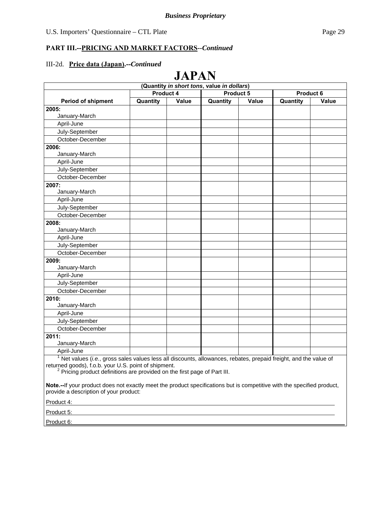#### III-2d. **Price data (Japan).--***Continued*

#### **JAPAN (Quantity** *in short tons***, value** *in dollars***) Period of shipment**  Product 4 Product 5 Product 6 **Quantity Value Quantity Value Quantity Value 2005:**  January-March April-June July-September October-December **2006:**  January-March April-June July-September October-December **2007:**  January-March April-June July-September October-December **2008:**  January-March April-June July-September October-December **2009:**  January-March April-June July-September October-December **2010:**  January-March April-June July-September October-December **2011:**  January-March April-June <sup>1</sup> Net values (*i.e.*, gross sales values less all discounts, allowances, rebates, prepaid freight, and the value of returned goods), f.o.b. your U.S. point of shipment.  $2$  Pricing product definitions are provided on the first page of Part III.

**Note.--**If your product does not exactly meet the product specifications but is competitive with the specified product, provide a description of your product:

Product 4:

Product 5:

Product 6: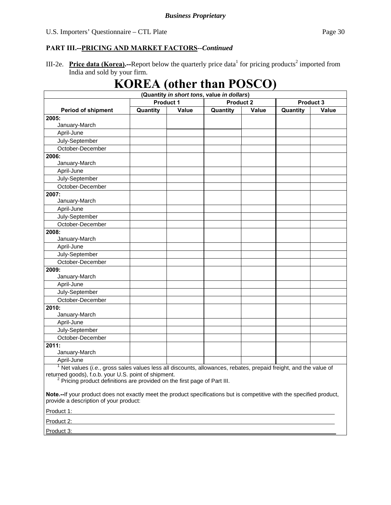III-2e. **Price data (Korea).**—Report below the quarterly price data<sup>1</sup> for pricing products<sup>2</sup> imported from India and sold by your firm.

# **KOREA (other than POSCO)**

| (Quantity in short tons, value in dollars)                                                                                                                                                                                                                          |                  |       |                  |       |          |                  |
|---------------------------------------------------------------------------------------------------------------------------------------------------------------------------------------------------------------------------------------------------------------------|------------------|-------|------------------|-------|----------|------------------|
|                                                                                                                                                                                                                                                                     | <b>Product 1</b> |       | <b>Product 2</b> |       |          | <b>Product 3</b> |
| <b>Period of shipment</b>                                                                                                                                                                                                                                           | Quantity         | Value | Quantity         | Value | Quantity | Value            |
| 2005:                                                                                                                                                                                                                                                               |                  |       |                  |       |          |                  |
| January-March                                                                                                                                                                                                                                                       |                  |       |                  |       |          |                  |
| April-June                                                                                                                                                                                                                                                          |                  |       |                  |       |          |                  |
| July-September                                                                                                                                                                                                                                                      |                  |       |                  |       |          |                  |
| October-December                                                                                                                                                                                                                                                    |                  |       |                  |       |          |                  |
| 2006:                                                                                                                                                                                                                                                               |                  |       |                  |       |          |                  |
| January-March                                                                                                                                                                                                                                                       |                  |       |                  |       |          |                  |
| April-June                                                                                                                                                                                                                                                          |                  |       |                  |       |          |                  |
| July-September                                                                                                                                                                                                                                                      |                  |       |                  |       |          |                  |
| October-December                                                                                                                                                                                                                                                    |                  |       |                  |       |          |                  |
| 2007:                                                                                                                                                                                                                                                               |                  |       |                  |       |          |                  |
| January-March                                                                                                                                                                                                                                                       |                  |       |                  |       |          |                  |
| April-June                                                                                                                                                                                                                                                          |                  |       |                  |       |          |                  |
| July-September                                                                                                                                                                                                                                                      |                  |       |                  |       |          |                  |
| October-December                                                                                                                                                                                                                                                    |                  |       |                  |       |          |                  |
| 2008:                                                                                                                                                                                                                                                               |                  |       |                  |       |          |                  |
| January-March                                                                                                                                                                                                                                                       |                  |       |                  |       |          |                  |
| April-June                                                                                                                                                                                                                                                          |                  |       |                  |       |          |                  |
| July-September                                                                                                                                                                                                                                                      |                  |       |                  |       |          |                  |
| October-December                                                                                                                                                                                                                                                    |                  |       |                  |       |          |                  |
| 2009:                                                                                                                                                                                                                                                               |                  |       |                  |       |          |                  |
| January-March                                                                                                                                                                                                                                                       |                  |       |                  |       |          |                  |
| April-June                                                                                                                                                                                                                                                          |                  |       |                  |       |          |                  |
| July-September                                                                                                                                                                                                                                                      |                  |       |                  |       |          |                  |
| October-December                                                                                                                                                                                                                                                    |                  |       |                  |       |          |                  |
| 2010:                                                                                                                                                                                                                                                               |                  |       |                  |       |          |                  |
| January-March                                                                                                                                                                                                                                                       |                  |       |                  |       |          |                  |
| April-June                                                                                                                                                                                                                                                          |                  |       |                  |       |          |                  |
| July-September                                                                                                                                                                                                                                                      |                  |       |                  |       |          |                  |
| October-December                                                                                                                                                                                                                                                    |                  |       |                  |       |          |                  |
| 2011:                                                                                                                                                                                                                                                               |                  |       |                  |       |          |                  |
| January-March                                                                                                                                                                                                                                                       |                  |       |                  |       |          |                  |
| April-June                                                                                                                                                                                                                                                          |                  |       |                  |       |          |                  |
| $1$ Net values (i.e., gross sales values less all discounts, allowances, rebates, prepaid freight, and the value of<br>returned goods), f.o.b. your U.S. point of shipment.<br><sup>2</sup> Pricing product definitions are provided on the first page of Part III. |                  |       |                  |       |          |                  |

**Note.--**If your product does not exactly meet the product specifications but is competitive with the specified product, provide a description of your product:

Product 1:

Product 2:

Product 3: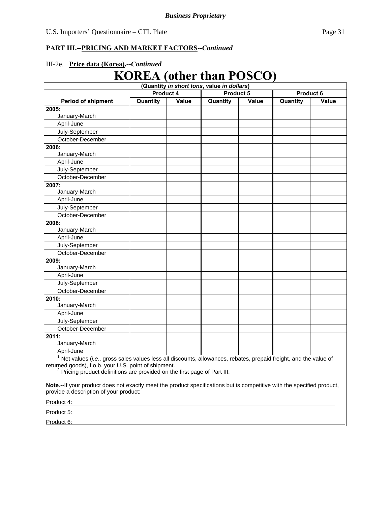#### **PART III.--PRICING AND MARKET FACTORS***--Continued*

### III-2e. **Price data (Korea).--***Continued*

# **KOREA (other than POSCO)**

|                                                                                                                                                                                                                                                                     |          |       | (Quantity in short tons, value in dollars) |              |          |              |
|---------------------------------------------------------------------------------------------------------------------------------------------------------------------------------------------------------------------------------------------------------------------|----------|-------|--------------------------------------------|--------------|----------|--------------|
| <b>Product 5</b><br>Product 4                                                                                                                                                                                                                                       |          |       | <b>Product 6</b>                           |              |          |              |
| <b>Period of shipment</b>                                                                                                                                                                                                                                           | Quantity | Value | Quantity                                   | <b>Value</b> | Quantity | <b>Value</b> |
| 2005:                                                                                                                                                                                                                                                               |          |       |                                            |              |          |              |
| January-March                                                                                                                                                                                                                                                       |          |       |                                            |              |          |              |
| April-June                                                                                                                                                                                                                                                          |          |       |                                            |              |          |              |
| July-September                                                                                                                                                                                                                                                      |          |       |                                            |              |          |              |
| October-December                                                                                                                                                                                                                                                    |          |       |                                            |              |          |              |
| 2006:                                                                                                                                                                                                                                                               |          |       |                                            |              |          |              |
| January-March                                                                                                                                                                                                                                                       |          |       |                                            |              |          |              |
| April-June                                                                                                                                                                                                                                                          |          |       |                                            |              |          |              |
| July-September                                                                                                                                                                                                                                                      |          |       |                                            |              |          |              |
| October-December                                                                                                                                                                                                                                                    |          |       |                                            |              |          |              |
| 2007:                                                                                                                                                                                                                                                               |          |       |                                            |              |          |              |
| January-March                                                                                                                                                                                                                                                       |          |       |                                            |              |          |              |
| April-June                                                                                                                                                                                                                                                          |          |       |                                            |              |          |              |
| July-September                                                                                                                                                                                                                                                      |          |       |                                            |              |          |              |
| October-December                                                                                                                                                                                                                                                    |          |       |                                            |              |          |              |
| 2008:                                                                                                                                                                                                                                                               |          |       |                                            |              |          |              |
| January-March                                                                                                                                                                                                                                                       |          |       |                                            |              |          |              |
| April-June                                                                                                                                                                                                                                                          |          |       |                                            |              |          |              |
| July-September                                                                                                                                                                                                                                                      |          |       |                                            |              |          |              |
| October-December                                                                                                                                                                                                                                                    |          |       |                                            |              |          |              |
| 2009:                                                                                                                                                                                                                                                               |          |       |                                            |              |          |              |
| January-March                                                                                                                                                                                                                                                       |          |       |                                            |              |          |              |
| April-June                                                                                                                                                                                                                                                          |          |       |                                            |              |          |              |
| July-September                                                                                                                                                                                                                                                      |          |       |                                            |              |          |              |
| October-December                                                                                                                                                                                                                                                    |          |       |                                            |              |          |              |
| 2010:                                                                                                                                                                                                                                                               |          |       |                                            |              |          |              |
| January-March                                                                                                                                                                                                                                                       |          |       |                                            |              |          |              |
| April-June                                                                                                                                                                                                                                                          |          |       |                                            |              |          |              |
| July-September                                                                                                                                                                                                                                                      |          |       |                                            |              |          |              |
| October-December                                                                                                                                                                                                                                                    |          |       |                                            |              |          |              |
| 2011:                                                                                                                                                                                                                                                               |          |       |                                            |              |          |              |
| January-March                                                                                                                                                                                                                                                       |          |       |                                            |              |          |              |
| April-June                                                                                                                                                                                                                                                          |          |       |                                            |              |          |              |
| $1$ Net values (i.e., gross sales values less all discounts, allowances, rebates, prepaid freight, and the value of<br>returned goods), f.o.b. your U.S. point of shipment.<br><sup>2</sup> Pricing product definitions are provided on the first page of Part III. |          |       |                                            |              |          |              |
| Note.--If your product does not exactly meet the product specifications but is competitive with the specified product,<br>provide a description of your product:                                                                                                    |          |       |                                            |              |          |              |
| Product 4:                                                                                                                                                                                                                                                          |          |       |                                            |              |          |              |
|                                                                                                                                                                                                                                                                     |          |       |                                            |              |          |              |

Product 5:

Product 6: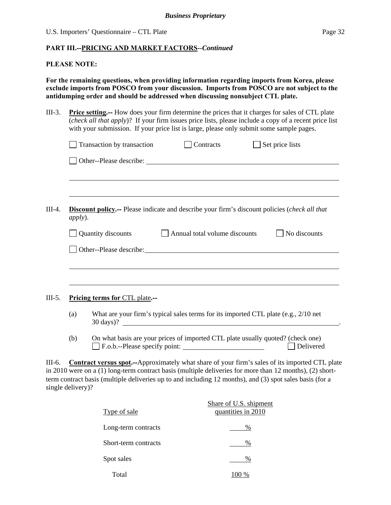#### **PLEASE NOTE:**

**For the remaining questions, when providing information regarding imports from Korea, please exclude imports from POSCO from your discussion. Imports from POSCO are not subject to the antidumping order and should be addressed when discussing nonsubject CTL plate.** 

III-3. **Price setting.--** How does your firm determine the prices that it charges for sales of CTL plate (*check all that apply*)? If your firm issues price lists, please include a copy of a recent price list with your submission. If your price list is large, please only submit some sample pages.

|          |                                | Transaction by transaction | Contracts                                                                                                                                                                                                                            | Set price lists                                                                                |  |  |
|----------|--------------------------------|----------------------------|--------------------------------------------------------------------------------------------------------------------------------------------------------------------------------------------------------------------------------------|------------------------------------------------------------------------------------------------|--|--|
|          |                                |                            |                                                                                                                                                                                                                                      |                                                                                                |  |  |
|          |                                |                            | <u> 1989 - Johann Stoff, amerikansk politiker (d. 1989)</u>                                                                                                                                                                          |                                                                                                |  |  |
| III-4.   | <i>apply</i> ).                |                            | <b>Discount policy.</b> -- Please indicate and describe your firm's discount policies (check all that                                                                                                                                |                                                                                                |  |  |
|          |                                | Quantity discounts         | Annual total volume discounts                                                                                                                                                                                                        | No discounts                                                                                   |  |  |
|          |                                |                            | Other--Please describe: <u>contract and the set of the set of the set of the set of the set of the set of the set of the set of the set of the set of the set of the set of the set of the set of the set of the set of the set </u> |                                                                                                |  |  |
|          |                                |                            |                                                                                                                                                                                                                                      |                                                                                                |  |  |
|          |                                |                            |                                                                                                                                                                                                                                      |                                                                                                |  |  |
| $III-5.$ | Pricing terms for CTL plate.-- |                            |                                                                                                                                                                                                                                      |                                                                                                |  |  |
|          | (a)                            |                            | What are your firm's typical sales terms for its imported CTL plate (e.g., 2/10 net<br>30 days)?                                                                                                                                     |                                                                                                |  |  |
|          | (b)                            |                            | On what basis are your prices of imported CTL plate usually quoted? (check one)                                                                                                                                                      | Delivered                                                                                      |  |  |
| III-6.   |                                |                            | in 2010 were on a (1) long-term contract basis (multiple deliveries for more than 12 months), (2) short-<br>term contract basis (multiple deliveries up to and including 12 months), and (3) spot sales basis (for a                 | Contract versus spot.--Approximately what share of your firm's sales of its imported CTL plate |  |  |

single delivery)?

| Type of sale         | Share of U.S. shipment<br>quantities in 2010 |
|----------------------|----------------------------------------------|
| Long-term contracts  | $\%$                                         |
| Short-term contracts | %                                            |
| Spot sales           | $\%$                                         |
| Total                | 100 %                                        |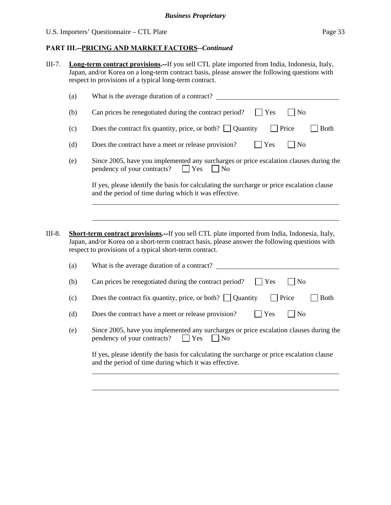| III-7. | <b>Long-term contract provisions.--If you sell CTL plate imported from India, Indonesia, Italy,</b> |
|--------|-----------------------------------------------------------------------------------------------------|
|        | Japan, and/or Korea on a long-term contract basis, please answer the following questions with       |
|        | respect to provisions of a typical long-term contract.                                              |
|        |                                                                                                     |

|                                                                                                                                                     | (a)                                                                                                                                                                                                                                                               | What is the average duration of a contract?                                                                                                         |  |  |
|-----------------------------------------------------------------------------------------------------------------------------------------------------|-------------------------------------------------------------------------------------------------------------------------------------------------------------------------------------------------------------------------------------------------------------------|-----------------------------------------------------------------------------------------------------------------------------------------------------|--|--|
|                                                                                                                                                     | (b)                                                                                                                                                                                                                                                               | Can prices be renegotiated during the contract period?<br>N <sub>o</sub><br>Yes                                                                     |  |  |
|                                                                                                                                                     | (c)                                                                                                                                                                                                                                                               | Does the contract fix quantity, price, or both? $\Box$ Quantity<br>Price<br><b>Both</b>                                                             |  |  |
|                                                                                                                                                     | (d)                                                                                                                                                                                                                                                               | Yes<br>$\rfloor$ No<br>Does the contract have a meet or release provision?                                                                          |  |  |
|                                                                                                                                                     | (e)                                                                                                                                                                                                                                                               | Since 2005, have you implemented any surcharges or price escalation clauses during the<br>pendency of your contracts?<br>$\Box$ Yes<br>    No       |  |  |
| If yes, please identify the basis for calculating the surcharge or price escalation clause<br>and the period of time during which it was effective. |                                                                                                                                                                                                                                                                   |                                                                                                                                                     |  |  |
|                                                                                                                                                     |                                                                                                                                                                                                                                                                   |                                                                                                                                                     |  |  |
| III-8.                                                                                                                                              | <b>Short-term contract provisions.--If you sell CTL plate imported from India, Indonesia, Italy,</b><br>Japan, and/or Korea on a short-term contract basis, please answer the following questions with<br>respect to provisions of a typical short-term contract. |                                                                                                                                                     |  |  |
|                                                                                                                                                     | (a)                                                                                                                                                                                                                                                               | What is the average duration of a contract?                                                                                                         |  |  |
|                                                                                                                                                     | (b)                                                                                                                                                                                                                                                               | N <sub>o</sub><br>Can prices be renegotiated during the contract period?<br>Yes                                                                     |  |  |
|                                                                                                                                                     | (c)                                                                                                                                                                                                                                                               | Does the contract fix quantity, price, or both? $\Box$ Quantity<br><b>Both</b><br>Price                                                             |  |  |
|                                                                                                                                                     | (d)                                                                                                                                                                                                                                                               | Does the contract have a meet or release provision?<br>Yes<br>$\overline{\rm N}$                                                                    |  |  |
|                                                                                                                                                     | (e)                                                                                                                                                                                                                                                               | Since 2005, have you implemented any surcharges or price escalation clauses during the<br>pendency of your contracts?<br>$ $ Yes<br>$ $ No          |  |  |
|                                                                                                                                                     |                                                                                                                                                                                                                                                                   | If yes, please identify the basis for calculating the surcharge or price escalation clause<br>and the period of time during which it was effective. |  |  |
|                                                                                                                                                     |                                                                                                                                                                                                                                                                   |                                                                                                                                                     |  |  |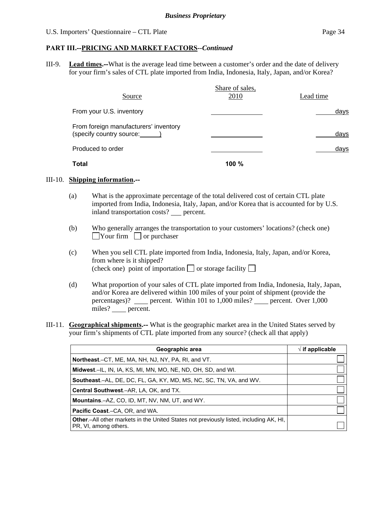#### **PART III.--PRICING AND MARKET FACTORS***--Continued*

III-9. **Lead times.--**What is the average lead time between a customer's order and the date of delivery for your firm's sales of CTL plate imported from India, Indonesia, Italy, Japan, and/or Korea?

|                                                                   | Share of sales, |           |
|-------------------------------------------------------------------|-----------------|-----------|
| Source                                                            | 2010            | Lead time |
| From your U.S. inventory                                          |                 | days      |
| From foreign manufacturers' inventory<br>(specify country source: |                 | days      |
| Produced to order                                                 |                 | days      |
| Total                                                             | $100 \%$        |           |

#### III-10. **Shipping information.--**

- (a) What is the approximate percentage of the total delivered cost of certain CTL plate imported from India, Indonesia, Italy, Japan, and/or Korea that is accounted for by U.S. inland transportation costs? \_\_ percent.
- (b) Who generally arranges the transportation to your customers' locations? (check one)  $\Box$ Your firm  $\Box$  or purchaser
- (c) When you sell CTL plate imported from India, Indonesia, Italy, Japan, and/or Korea, from where is it shipped? (check one) point of importation  $\Box$  or storage facility  $\Box$
- (d) What proportion of your sales of CTL plate imported from India, Indonesia, Italy, Japan, and/or Korea are delivered within 100 miles of your point of shipment (provide the percentages)? \_\_\_\_ percent. Within 101 to 1,000 miles? \_\_\_\_ percent. Over 1,000 miles? percent.
- III-11. **Geographical shipments.--** What is the geographic market area in the United States served by your firm's shipments of CTL plate imported from any source? (check all that apply)

| Geographic area                                                                                                         | $\sqrt{}$ if applicable |
|-------------------------------------------------------------------------------------------------------------------------|-------------------------|
| Northeast.–CT, ME, MA, NH, NJ, NY, PA, RI, and VT.                                                                      |                         |
| Midwest.–IL, IN, IA, KS, MI, MN, MO, NE, ND, OH, SD, and WI.                                                            |                         |
| Southeast.–AL, DE, DC, FL, GA, KY, MD, MS, NC, SC, TN, VA, and WV.                                                      |                         |
| Central Southwest.-AR, LA, OK, and TX.                                                                                  |                         |
| <b>Mountains.-AZ, CO, ID, MT, NV, NM, UT, and WY.</b>                                                                   |                         |
| <b>Pacific Coast.–CA, OR, and WA.</b>                                                                                   |                         |
| <b>Other</b> .—All other markets in the United States not previously listed, including AK, HI,<br>PR, VI, among others. |                         |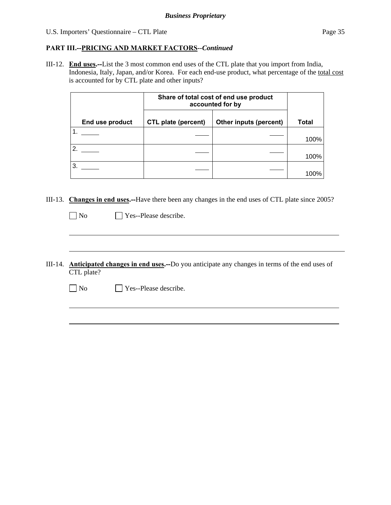l

#### **PART III.--PRICING AND MARKET FACTORS***--Continued*

III-12. **End uses.--**List the 3 most common end uses of the CTL plate that you import from India, Indonesia, Italy, Japan, and/or Korea. For each end-use product, what percentage of the total cost is accounted for by CTL plate and other inputs?

|                 | Share of total cost of end use product<br>accounted for by |                        |       |
|-----------------|------------------------------------------------------------|------------------------|-------|
| End use product | <b>CTL plate (percent)</b>                                 | Other inputs (percent) | Total |
|                 |                                                            |                        | 100%  |
| 2.              |                                                            |                        | 100%  |
| 3.              |                                                            |                        | 100%  |

III-13. **Changes in end uses.--**Have there been any changes in the end uses of CTL plate since 2005?

No Ples--Please describe.

 $\overline{a}$ 

 $\overline{a}$ 

III-14. **Anticipated changes in end uses.--**Do you anticipate any changes in terms of the end uses of CTL plate?

No Yes--Please describe.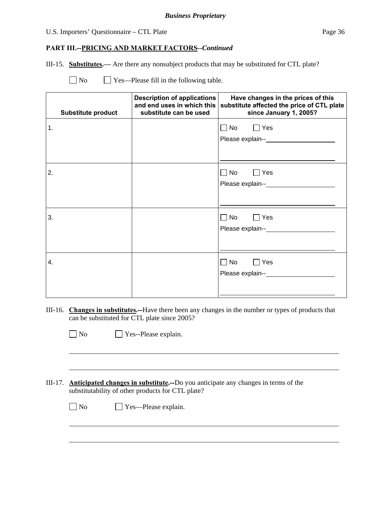#### **PART III.--PRICING AND MARKET FACTORS***--Continued*

III-15. **Substitutes.—** Are there any nonsubject products that may be substituted for CTL plate?

| N <sub>o</sub><br>$\Box$ Yes—Please fill in the following table. |  |
|------------------------------------------------------------------|--|
|------------------------------------------------------------------|--|

|    | <b>Substitute product</b> | <b>Description of applications</b><br>and end uses in which this<br>substitute can be used | Have changes in the prices of this<br>substitute affected the price of CTL plate<br>since January 1, 2005? |
|----|---------------------------|--------------------------------------------------------------------------------------------|------------------------------------------------------------------------------------------------------------|
| 1. |                           |                                                                                            | $\Box$ No $\Box$<br>$\Box$ Yes                                                                             |
| 2. |                           |                                                                                            | $\Box$ No<br>$\Box$ Yes                                                                                    |
| 3. |                           |                                                                                            | $\Box$ No $\Box$<br>$\Box$ Yes                                                                             |
| 4. |                           |                                                                                            | $\Box$ No $\Box$<br>$\Box$ Yes                                                                             |

III-16. **Changes in substitutes.--**Have there been any changes in the number or types of products that can be substituted for CTL plate since 2005?

|--|--|

 $\overline{a}$ 

 $\overline{a}$ 

 $\Box$  Yes--Please explain.

III-17. **Anticipated changes in substitute.--**Do you anticipate any changes in terms of the substitutability of other products for CTL plate?

No Yes—Please explain.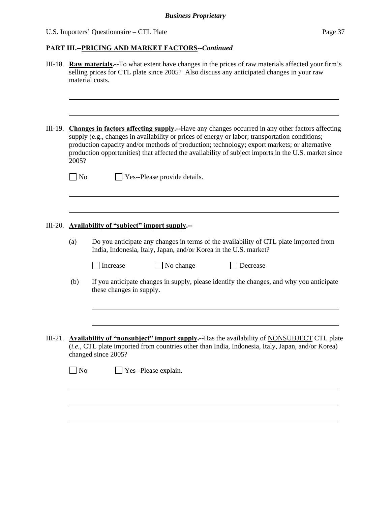|           |                                                   | III-18. Raw materials.--To what extent have changes in the prices of raw materials affected your firm's<br>selling prices for CTL plate since 2005? Also discuss any anticipated changes in your raw<br>material costs.<br><b>Changes in factors affecting supply.</b> —Have any changes occurred in any other factors affecting<br>supply (e.g., changes in availability or prices of energy or labor; transportation conditions;<br>production capacity and/or methods of production; technology; export markets; or alternative<br>production opportunities) that affected the availability of subject imports in the U.S. market since<br>2005? |  |  |  |  |
|-----------|---------------------------------------------------|-----------------------------------------------------------------------------------------------------------------------------------------------------------------------------------------------------------------------------------------------------------------------------------------------------------------------------------------------------------------------------------------------------------------------------------------------------------------------------------------------------------------------------------------------------------------------------------------------------------------------------------------------------|--|--|--|--|
| III-19.   |                                                   |                                                                                                                                                                                                                                                                                                                                                                                                                                                                                                                                                                                                                                                     |  |  |  |  |
|           | $\Box$ No                                         | Yes--Please provide details.                                                                                                                                                                                                                                                                                                                                                                                                                                                                                                                                                                                                                        |  |  |  |  |
| $III-20.$ | <b>Availability of "subject" import supply.--</b> |                                                                                                                                                                                                                                                                                                                                                                                                                                                                                                                                                                                                                                                     |  |  |  |  |
|           | (a)                                               | Do you anticipate any changes in terms of the availability of CTL plate imported from<br>India, Indonesia, Italy, Japan, and/or Korea in the U.S. market?                                                                                                                                                                                                                                                                                                                                                                                                                                                                                           |  |  |  |  |
|           | (b)                                               | No change<br>Increase<br>Decrease<br>If you anticipate changes in supply, please identify the changes, and why you anticipate<br>these changes in supply.                                                                                                                                                                                                                                                                                                                                                                                                                                                                                           |  |  |  |  |
|           | $\Box$ No                                         | III-21. Availability of "nonsubject" import supply.--Has the availability of NONSUBJECT CTL plate<br>(i.e., CTL plate imported from countries other than India, Indonesia, Italy, Japan, and/or Korea)<br>changed since 2005?<br>Yes--Please explain.                                                                                                                                                                                                                                                                                                                                                                                               |  |  |  |  |
|           |                                                   |                                                                                                                                                                                                                                                                                                                                                                                                                                                                                                                                                                                                                                                     |  |  |  |  |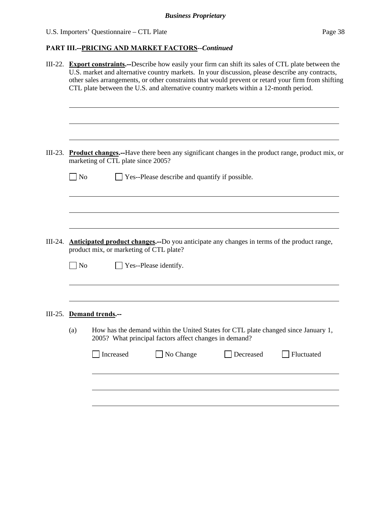| III-22. Export constraints.--Describe how easily your firm can shift its sales of CTL plate between the<br>U.S. market and alternative country markets. In your discussion, please describe any contracts,<br>other sales arrangements, or other constraints that would prevent or retard your firm from shifting<br>CTL plate between the U.S. and alternative country markets within a 12-month period. |                                                                                                         |  |  |  |  |  |
|-----------------------------------------------------------------------------------------------------------------------------------------------------------------------------------------------------------------------------------------------------------------------------------------------------------------------------------------------------------------------------------------------------------|---------------------------------------------------------------------------------------------------------|--|--|--|--|--|
| $III-23.$<br>marketing of CTL plate since 2005?                                                                                                                                                                                                                                                                                                                                                           | <b>Product changes.</b> --Have there been any significant changes in the product range, product mix, or |  |  |  |  |  |
| Anticipated product changes.--Do you anticipate any changes in terms of the product range,<br>$III-24.$<br>product mix, or marketing of CTL plate?<br>Yes--Please identify.<br>$\Box$ No                                                                                                                                                                                                                  |                                                                                                         |  |  |  |  |  |
| III-25. Demand trends.--<br>How has the demand within the United States for CTL plate changed since January 1,<br>(a)<br>2005? What principal factors affect changes in demand?<br>Increased<br>No Change<br>Decreased                                                                                                                                                                                    | Fluctuated                                                                                              |  |  |  |  |  |
|                                                                                                                                                                                                                                                                                                                                                                                                           | $\blacksquare$ No<br>Yes--Please describe and quantify if possible.                                     |  |  |  |  |  |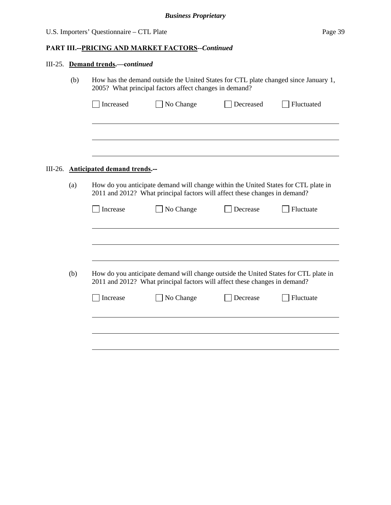|     | III-25. Demand trends.-continued                                                                                                                                 |                                                                                                                                                                   |           |            |  |  |  |
|-----|------------------------------------------------------------------------------------------------------------------------------------------------------------------|-------------------------------------------------------------------------------------------------------------------------------------------------------------------|-----------|------------|--|--|--|
| (b) | How has the demand outside the United States for CTL plate changed since January 1,<br>2005? What principal factors affect changes in demand?                    |                                                                                                                                                                   |           |            |  |  |  |
|     | Increased                                                                                                                                                        | No Change                                                                                                                                                         | Decreased | Fluctuated |  |  |  |
|     |                                                                                                                                                                  |                                                                                                                                                                   |           |            |  |  |  |
|     |                                                                                                                                                                  |                                                                                                                                                                   |           |            |  |  |  |
|     | III-26. Anticipated demand trends.--                                                                                                                             |                                                                                                                                                                   |           |            |  |  |  |
| (a) | How do you anticipate demand will change within the United States for CTL plate in<br>2011 and 2012? What principal factors will affect these changes in demand? |                                                                                                                                                                   |           |            |  |  |  |
|     | Increase                                                                                                                                                         | No Change                                                                                                                                                         | Decrease  | Fluctuate  |  |  |  |
|     |                                                                                                                                                                  |                                                                                                                                                                   |           |            |  |  |  |
|     |                                                                                                                                                                  |                                                                                                                                                                   |           |            |  |  |  |
| (b) |                                                                                                                                                                  | How do you anticipate demand will change outside the United States for CTL plate in<br>2011 and 2012? What principal factors will affect these changes in demand? |           |            |  |  |  |
|     | Increase                                                                                                                                                         | No Change                                                                                                                                                         | Decrease  | Fluctuate  |  |  |  |
|     |                                                                                                                                                                  |                                                                                                                                                                   |           |            |  |  |  |
|     |                                                                                                                                                                  |                                                                                                                                                                   |           |            |  |  |  |
|     |                                                                                                                                                                  |                                                                                                                                                                   |           |            |  |  |  |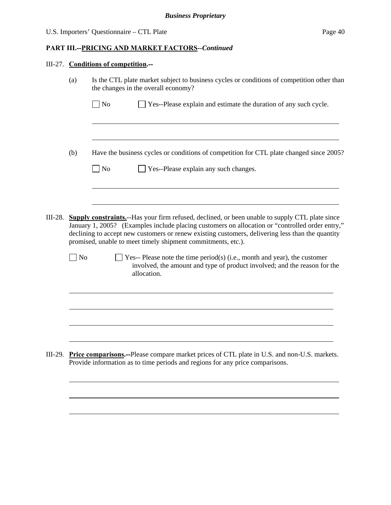### **PART III.--PRICING AND MARKET FACTORS***--Continued*

### III-27. **Conditions of competition.--**

l

|         | (a)            | Is the CTL plate market subject to business cycles or conditions of competition other than<br>the changes in the overall economy? |                                                                                                                                                                                                                                                                                                                                                                               |  |  |  |
|---------|----------------|-----------------------------------------------------------------------------------------------------------------------------------|-------------------------------------------------------------------------------------------------------------------------------------------------------------------------------------------------------------------------------------------------------------------------------------------------------------------------------------------------------------------------------|--|--|--|
|         |                | $\log$                                                                                                                            | Yes--Please explain and estimate the duration of any such cycle.                                                                                                                                                                                                                                                                                                              |  |  |  |
|         |                |                                                                                                                                   |                                                                                                                                                                                                                                                                                                                                                                               |  |  |  |
|         | (b)            |                                                                                                                                   | Have the business cycles or conditions of competition for CTL plate changed since 2005?                                                                                                                                                                                                                                                                                       |  |  |  |
|         |                | No                                                                                                                                | Yes--Please explain any such changes.                                                                                                                                                                                                                                                                                                                                         |  |  |  |
|         |                |                                                                                                                                   |                                                                                                                                                                                                                                                                                                                                                                               |  |  |  |
| III-28. |                |                                                                                                                                   | <b>Supply constraints.</b> --Has your firm refused, declined, or been unable to supply CTL plate since<br>January 1, 2005? (Examples include placing customers on allocation or "controlled order entry,"<br>declining to accept new customers or renew existing customers, delivering less than the quantity<br>promised, unable to meet timely shipment commitments, etc.). |  |  |  |
|         | N <sub>o</sub> |                                                                                                                                   | Yes-- Please note the time period(s) (i.e., month and year), the customer<br>involved, the amount and type of product involved; and the reason for the<br>allocation.                                                                                                                                                                                                         |  |  |  |
|         |                |                                                                                                                                   |                                                                                                                                                                                                                                                                                                                                                                               |  |  |  |
|         |                |                                                                                                                                   |                                                                                                                                                                                                                                                                                                                                                                               |  |  |  |
|         |                |                                                                                                                                   |                                                                                                                                                                                                                                                                                                                                                                               |  |  |  |
| III-29. |                |                                                                                                                                   | <b>Price comparisons.</b> --Please compare market prices of CTL plate in U.S. and non-U.S. markets.<br>Provide information as to time periods and regions for any price comparisons.                                                                                                                                                                                          |  |  |  |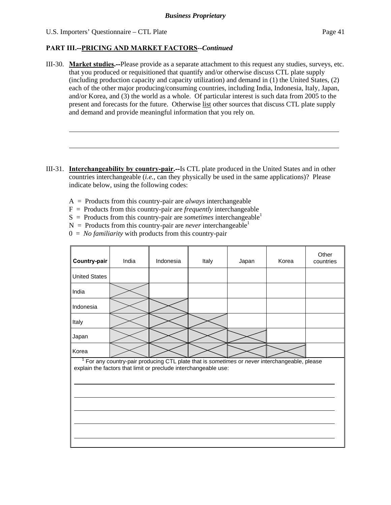l

- III-30. **Market studies.--**Please provide as a separate attachment to this request any studies, surveys, etc. that you produced or requisitioned that quantify and/or otherwise discuss CTL plate supply (including production capacity and capacity utilization) and demand in (1) the United States, (2) each of the other major producing/consuming countries, including India, Indonesia, Italy, Japan, and/or Korea, and (3) the world as a whole. Of particular interest is such data from 2005 to the present and forecasts for the future. Otherwise list other sources that discuss CTL plate supply and demand and provide meaningful information that you rely on.
- III-31. **Interchangeability by country-pair.--**Is CTL plate produced in the United States and in other countries interchangeable (*i.e.*, can they physically be used in the same applications)? Please indicate below, using the following codes:
	- A = Products from this country-pair are *always* interchangeable
	- F = Products from this country-pair are *frequently* interchangeable
	- $S =$  Products from this country-pair are *sometimes* interchangeable<sup>1</sup>
	- $N =$  Products from this country-pair are *never* interchangeable<sup>1</sup>
	- $0 = No$  *familiarity* with products from this country-pair

| Country-pair                                                                                                                                                   | India | Indonesia | Italy | Japan | Korea | Other<br>countries |  |
|----------------------------------------------------------------------------------------------------------------------------------------------------------------|-------|-----------|-------|-------|-------|--------------------|--|
| <b>United States</b>                                                                                                                                           |       |           |       |       |       |                    |  |
| India                                                                                                                                                          |       |           |       |       |       |                    |  |
| Indonesia                                                                                                                                                      |       |           |       |       |       |                    |  |
| Italy                                                                                                                                                          |       |           |       |       |       |                    |  |
| Japan                                                                                                                                                          |       |           |       |       |       |                    |  |
| Korea                                                                                                                                                          |       |           |       |       |       |                    |  |
| For any country-pair producing CTL plate that is sometimes or never interchangeable, please<br>explain the factors that limit or preclude interchangeable use: |       |           |       |       |       |                    |  |
|                                                                                                                                                                |       |           |       |       |       |                    |  |
|                                                                                                                                                                |       |           |       |       |       |                    |  |
|                                                                                                                                                                |       |           |       |       |       |                    |  |
|                                                                                                                                                                |       |           |       |       |       |                    |  |
|                                                                                                                                                                |       |           |       |       |       |                    |  |